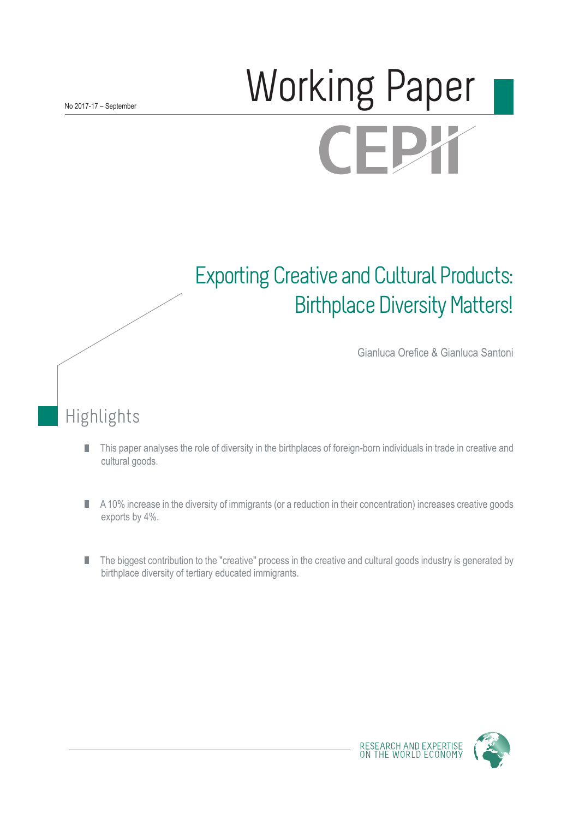# Working Paper **CEPY**

# Exporting Creative and Cultural Products: Birthplace Diversity Matters!

Gianluca Orefice & Gianluca Santoni

Highlights

- This paper analyses the role of diversity in the birthplaces of foreign-born individuals in trade in creative and П cultural goods.
- A 10% increase in the diversity of immigrants (or a reduction in their concentration) increases creative goods П exports by 4%.
- The biggest contribution to the "creative" process in the creative and cultural goods industry is generated by П birthplace diversity of tertiary educated immigrants.



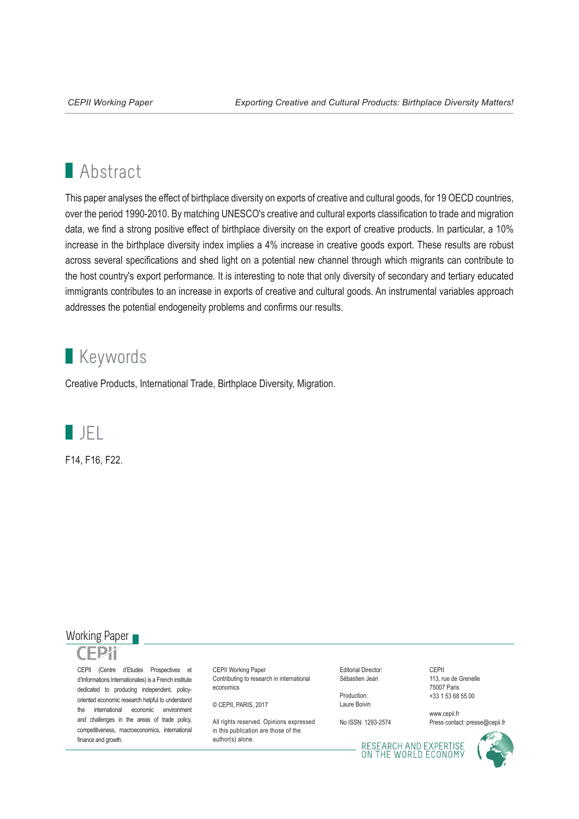# **Abstract**

This paper analyses the effect of birthplace diversity on exports of creative and cultural goods, for 19 OECD countries, over the period 1990-2010. By matching UNESCO's creative and cultural exports classification to trade and migration data, we find a strong positive effect of birthplace diversity on the export of creative products. In particular, a 10% increase in the birthplace diversity index implies a 4% increase in creative goods export. These results are robust across several specifications and shed light on a potential new channel through which migrants can contribute to the host country's export performance. It is interesting to note that only diversity of secondary and tertiary educated immigrants contributes to an increase in exports of creative and cultural goods. An instrumental variables approach addresses the potential endogeneity problems and confirms our results.

# **Keywords**

Creative Products, International Trade, Birthplace Diversity, Migration.



F14, F16, F22.

# Working Paper



CEPII (Centre d'Etudes Prospectives et d'Informations Internationales) is a French institute dedicated to producing independent, policyoriented economic research helpful to understand the international economic environment and challenges in the areas of trade policy, competitiveness, macroeconomics, international finance and growth.

CEPII Working Paper Contributing to research in international economics

© CEPII, PARIS, 2017

All rights reserved. Opinions expressed. in this publication are those of the author(s) alone.

Editorial Director: Sébastien Jean

Production: Laure Boivin

No ISSN: 1293-2574

CEPII 113, rue de Grenelle 75007 Paris +33 1 53 68 55 00

www.cepii.fr Press contact: presse@cepii.fr

RESEARCH AND EXPERTISE<br>ON THE WORLD ECONOMY

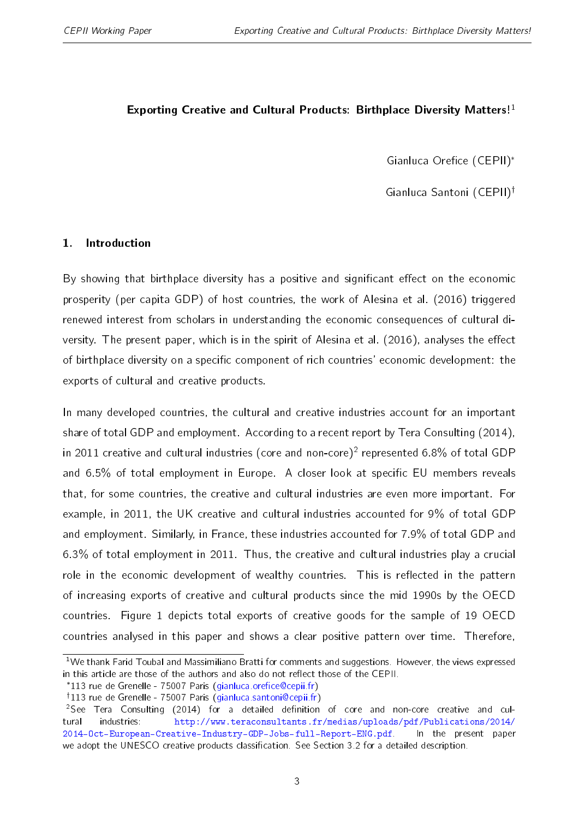# <span id="page-2-0"></span>Exporting Creative and Cultural Products: Birthplace Diversity Matters!<sup>1</sup>

Gianluca Orefice (CEPII)\*

Gianluca Santoni (CEPII)<sup>†</sup>

# 1. Introduction

By showing that birthplace diversity has a positive and significant effect on the economic prosperity (per capita GDP) of host countries, the work of [Alesina et al.](#page-25-0) [\(2016\)](#page-25-0) triggered renewed interest from scholars in understanding the economic consequences of cultural di-versity. The present paper, which is in the spirit of [Alesina et al.](#page-25-0) [\(2016\)](#page-25-0), analyses the effect of birthplace diversity on a specific component of rich countries' economic development: the exports of cultural and creative products.

In many developed countries, the cultural and creative industries account for an important share of total GDP and employment. According to a recent report by Tera Consulting [\(2014\)](#page-26-0), in 2011 creative and cultural industries (core and non-core) $^2$  represented 6.8% of total GDP and 6.5% of total employment in Europe. A closer look at specific EU members reveals that, for some countries, the creative and cultural industries are even more important. For example, in 2011, the UK creative and cultural industries accounted for 9% of total GDP and employment. Similarly, in France, these industries accounted for 7.9% of total GDP and 6.3% of total employment in 2011. Thus, the creative and cultural industries play a crucial role in the economic development of wealthy countries. This is reflected in the pattern of increasing exports of creative and cultural products since the mid 1990s by the OECD countries. Figure [1](#page-15-0) depicts total exports of creative goods for the sample of 19 OECD countries analysed in this paper and shows a clear positive pattern over time. Therefore,

<sup>&</sup>lt;sup>1</sup>We thank Farid Toubal and Massimiliano Bratti for comments and suggestions. However, the views expressed in this article are those of the authors and also do not reflect those of the CEPII.

<sup>\*113</sup> rue de Grenelle - 75007 Paris (gianluca.orefice@cepii.fr)

<sup>&</sup>lt;sup>†</sup>113 rue de Grenelle - 75007 Paris [\(gianluca.santoni@cepii.fr\)](mailto:gianluca.santoni@cepii.fr)

 $2$ See Tera Consulting [\(2014\)](#page-26-0) for a detailed definition of core and non-core creative and cultural industries: [http://www.teraconsultants.fr/medias/uploads/pdf/Publications/2014/](http://www.teraconsultants.fr/medias/uploads/pdf/Publications/2014/2014-Oct-European-Creative-Industry-GDP-Jobs-full-Report-ENG.pdf) [2014-Oct-European-Creative-Industry-GDP-Jobs-full-Report-ENG.pdf.](http://www.teraconsultants.fr/medias/uploads/pdf/Publications/2014/2014-Oct-European-Creative-Industry-GDP-Jobs-full-Report-ENG.pdf) In the present paper we adopt the UNESCO creative products classification. See Section [3.2](#page-9-0) for a detailed description.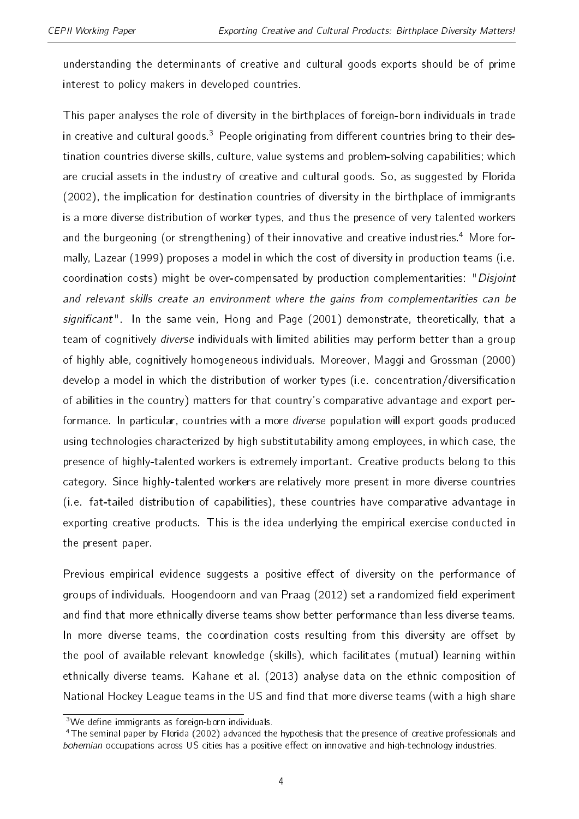understanding the determinants of creative and cultural goods exports should be of prime interest to policy makers in developed countries.

This paper analyses the role of diversity in the birthplaces of foreign-born individuals in trade in creative and cultural goods.<sup>[3](#page-2-0)</sup> People originating from different countries bring to their destination countries diverse skills, culture, value systems and problem-solving capabilities; which are crucial assets in the industry of creative and cultural goods. So, as suggested by [Florida](#page-25-1) [\(2002\)](#page-25-1), the implication for destination countries of diversity in the birthplace of immigrants is a more diverse distribution of worker types, and thus the presence of very talented workers and the burgeoning (or strengthening) of their innovative and creative industries.<sup>[4](#page-2-0)</sup> More formally, [Lazear](#page-25-2) [\(1999\)](#page-25-2) proposes a model in which the cost of diversity in production teams (i.e. coordination costs) might be over-compensated by production complementarities: "Disjoint and relevant skills create an environment where the gains from complementarities can be significant". In the same vein, [Hong and Page](#page-25-3)  $(2001)$  demonstrate, theoretically, that a team of cognitively diverse individuals with limited abilities may perform better than a group of highly able, cognitively homogeneous individuals. Moreover, [Maggi and Grossman](#page-26-1) [\(2000\)](#page-26-1) develop a model in which the distribution of worker types (i.e. concentration/diversification of abilities in the country) matters for that country's comparative advantage and export performance. In particular, countries with a more *diverse* population will export goods produced using technologies characterized by high substitutability among employees, in which case, the presence of highly-talented workers is extremely important. Creative products belong to this category. Since highly-talented workers are relatively more present in more diverse countries (i.e. fat-tailed distribution of capabilities), these countries have comparative advantage in exporting creative products. This is the idea underlying the empirical exercise conducted in the present paper.

Previous empirical evidence suggests a positive effect of diversity on the performance of groups of individuals. [Hoogendoorn and van Praag](#page-25-4) [\(2012\)](#page-25-4) set a randomized field experiment and find that more ethnically diverse teams show better performance than less diverse teams. In more diverse teams, the coordination costs resulting from this diversity are offset by the pool of available relevant knowledge (skills), which facilitates (mutual) learning within ethnically diverse teams. [Kahane et al.](#page-25-5) [\(2013\)](#page-25-5) analyse data on the ethnic composition of National Hockey League teams in the US and find that more diverse teams (with a high share

 $3$ We define immigrants as foreign-born individuals.

<sup>&</sup>lt;sup>4</sup>The seminal paper by [Florida](#page-25-1) [\(2002\)](#page-25-1) advanced the hypothesis that the presence of creative professionals and bohemian occupations across US cities has a positive effect on innovative and high-technology industries.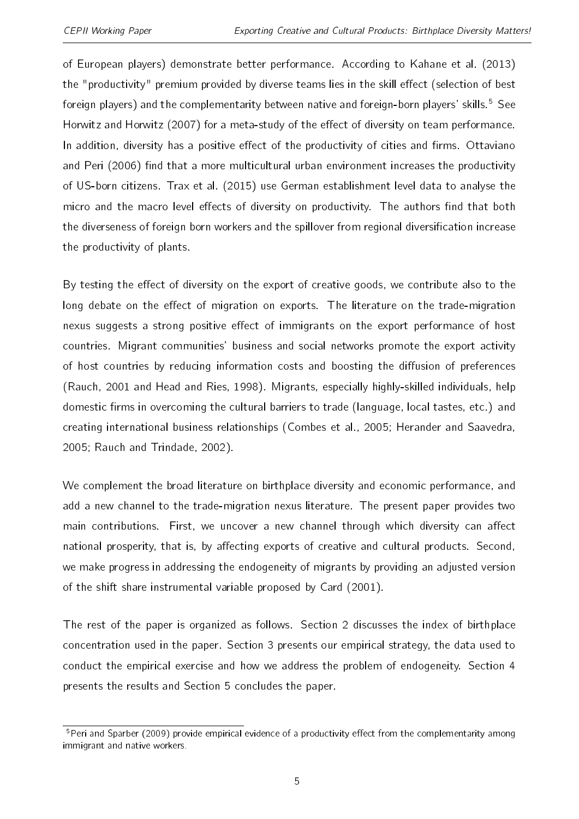of European players) demonstrate better performance. According to [Kahane et al.](#page-25-5) [\(2013\)](#page-25-5) the "productivity" premium provided by diverse teams lies in the skill effect (selection of best foreign players) and the complementarity between native and foreign-born players' skills.<sup>[5](#page-2-0)</sup> See [Horwitz and Horwitz](#page-25-6) [\(2007\)](#page-25-6) for a meta-study of the effect of diversity on team performance. In addition, diversity has a positive effect of the productivity of cities and firms. [Ottaviano](#page-26-2) [and Peri](#page-26-2) [\(2006\)](#page-26-2) find that a more multicultural urban environment increases the productivity of US-born citizens. [Trax et al.](#page-26-3) [\(2015\)](#page-26-3) use German establishment level data to analyse the micro and the macro level effects of diversity on productivity. The authors find that both the diverseness of foreign born workers and the spillover from regional diversification increase the productivity of plants.

By testing the effect of diversity on the export of creative goods, we contribute also to the long debate on the effect of migration on exports. The literature on the trade-migration nexus suggests a strong positive effect of immigrants on the export performance of host countries. Migrant communities' business and social networks promote the export activity of host countries by reducing information costs and boosting the diffusion of preferences [\(Rauch,](#page-26-4) [2001](#page-26-4) and [Head and Ries,](#page-25-7) [1998\)](#page-25-7). Migrants, especially highly-skilled individuals, help domestic firms in overcoming the cultural barriers to trade (language, local tastes, etc.) and creating international business relationships [\(Combes et al.,](#page-25-8) [2005;](#page-25-8) [Herander and Saavedra,](#page-25-9) [2005;](#page-25-9) [Rauch and Trindade,](#page-26-5) [2002\)](#page-26-5).

We complement the broad literature on birthplace diversity and economic performance, and add a new channel to the trade-migration nexus literature. The present paper provides two main contributions. First, we uncover a new channel through which diversity can affect national prosperity, that is, by affecting exports of creative and cultural products. Second, we make progress in addressing the endogeneity of migrants by providing an adjusted version of the shift share instrumental variable proposed by [Card](#page-25-10) [\(2001\)](#page-25-10).

The rest of the paper is organized as follows. Section 2 discusses the index of birthplace concentration used in the paper. Section 3 presents our empirical strategy, the data used to conduct the empirical exercise and how we address the problem of endogeneity. Section 4 presents the results and Section 5 concludes the paper.

<sup>&</sup>lt;sup>5</sup>[Peri and Sparber](#page-26-6) [\(2009\)](#page-26-6) provide empirical evidence of a productivity effect from the complementarity among immigrant and native workers.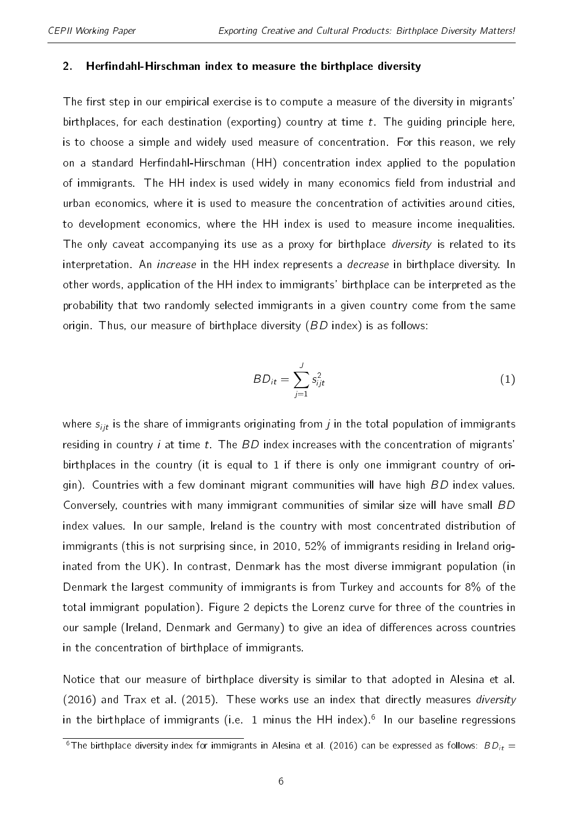#### <span id="page-5-1"></span>2. Herfindahl-Hirschman index to measure the birthplace diversity

The first step in our empirical exercise is to compute a measure of the diversity in migrants' birthplaces, for each destination (exporting) country at time  $t$ . The guiding principle here, is to choose a simple and widely used measure of concentration. For this reason, we rely on a standard Herfindahl-Hirschman (HH) concentration index applied to the population of immigrants. The HH index is used widely in many economics field from industrial and urban economics, where it is used to measure the concentration of activities around cities, to development economics, where the HH index is used to measure income inequalities. The only caveat accompanying its use as a proxy for birthplace *diversity* is related to its interpretation. An increase in the HH index represents a decrease in birthplace diversity. In other words, application of the HH index to immigrants' birthplace can be interpreted as the probability that two randomly selected immigrants in a given country come from the same origin. Thus, our measure of birthplace diversity (BD index) is as follows:

$$
BD_{it} = \sum_{j=1}^{J} s_{ijt}^2 \tag{1}
$$

<span id="page-5-0"></span>where  $s_{ijt}$  is the share of immigrants originating from *j* in the total population of immigrants residing in country *i* at time  $t$ . The  $BD$  index increases with the concentration of migrants' birthplaces in the country (it is equal to 1 if there is only one immigrant country of origin). Countries with a few dominant migrant communities will have high BD index values. Conversely, countries with many immigrant communities of similar size will have small BD index values. In our sample, Ireland is the country with most concentrated distribution of immigrants (this is not surprising since, in 2010, 52% of immigrants residing in Ireland originated from the UK). In contrast, Denmark has the most diverse immigrant population (in Denmark the largest community of immigrants is from Turkey and accounts for 8% of the total immigrant population). Figure [2](#page-16-0) depicts the Lorenz curve for three of the countries in our sample (Ireland, Denmark and Germany) to give an idea of differences across countries in the concentration of birthplace of immigrants.

Notice that our measure of birthplace diversity is similar to that adopted in [Alesina et al.](#page-25-0) [\(2016\)](#page-25-0) and [Trax et al.](#page-26-3) [\(2015\)](#page-26-3). These works use an index that directly measures diversity in the birthplace of immigrants (i.e. 1 minus the HH index).<sup>[6](#page-2-0)</sup> In our baseline regressions

<sup>&</sup>lt;sup>6</sup>The birthplace diversity index for immigrants in [Alesina et al.](#page-25-0) [\(2016\)](#page-25-0) can be expressed as follows:  $BD_{it}$  =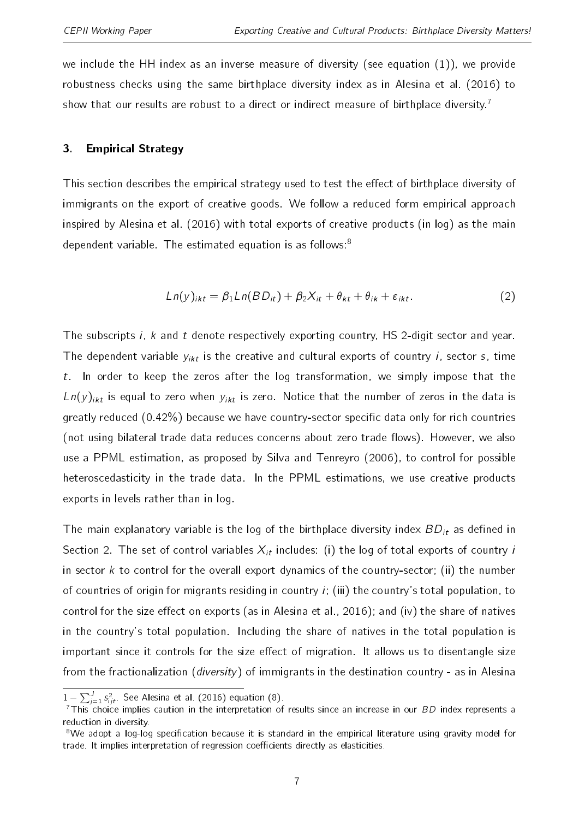we include the HH index as an inverse measure of diversity (see equation [\(1\)](#page-5-0)), we provide robustness checks using the same birthplace diversity index as in [Alesina et al.](#page-25-0) [\(2016\)](#page-25-0) to show that our results are robust to a direct or indirect measure of birthplace diversity.<sup>[7](#page-2-0)</sup>

#### 3. Empirical Strategy

<span id="page-6-0"></span>This section describes the empirical strategy used to test the effect of birthplace diversity of immigrants on the export of creative goods. We follow a reduced form empirical approach inspired by [Alesina et al.](#page-25-0) [\(2016\)](#page-25-0) with total exports of creative products (in log) as the main dependent variable. The estimated equation is as follows:<sup>[8](#page-2-0)</sup>

$$
Ln(y)_{ikt} = \beta_1 Ln(BD_{it}) + \beta_2 X_{it} + \theta_{kt} + \theta_{ik} + \varepsilon_{ikt}.
$$
 (2)

The subscripts i, k and t denote respectively exporting country, HS 2-digit sector and year. The dependent variable  $y_{ikt}$  is the creative and cultural exports of country *i*, sector *s*, time  $t$ . In order to keep the zeros after the log transformation, we simply impose that the  $L n(y)_{ikt}$  is equal to zero when  $y_{ikt}$  is zero. Notice that the number of zeros in the data is greatly reduced  $(0.42\%)$  because we have country-sector specific data only for rich countries (not using bilateral trade data reduces concerns about zero trade flows). However, we also use a PPML estimation, as proposed by [Silva and Tenreyro](#page-26-7) [\(2006\)](#page-26-7), to control for possible heteroscedasticity in the trade data. In the PPML estimations, we use creative products exports in levels rather than in log.

The main explanatory variable is the log of the birthplace diversity index  $BD_{it}$  as defined in Section [2.](#page-5-1) The set of control variables  $X_{it}$  includes: (i) the log of total exports of country i in sector k to control for the overall export dynamics of the country-sector; (ii) the number of countries of origin for migrants residing in country  $i$ ; (iii) the country's total population, to control for the size effect on exports (as in [Alesina et al.,](#page-25-0) [2016\)](#page-25-0); and (iv) the share of natives in the country's total population. Including the share of natives in the total population is important since it controls for the size effect of migration. It allows us to disentangle size from the fractionalization (*diversity*) of immigrants in the destination country - as in [Alesina](#page-25-0) important since it controls for the size effec<br>from the fractionalization (*diversity*) of immi<br> $\frac{1 - \sum_{j=1}^{J} s_{ijt}^2$ . See [Alesina et al.](#page-25-0) [\(2016\) equation \(8\).](#page-25-0)

 $7$ [This choice implies caution in the interpretation of results since an increase in our](#page-25-0)  $BD$  index represents a [reduction in diversity.](#page-25-0)

<sup>&</sup>lt;sup>8</sup>We adopt a log-log specification because it is standard in the empirical literature using gravity model for trade. It implies interpretation of regression coefficients directly as elasticities.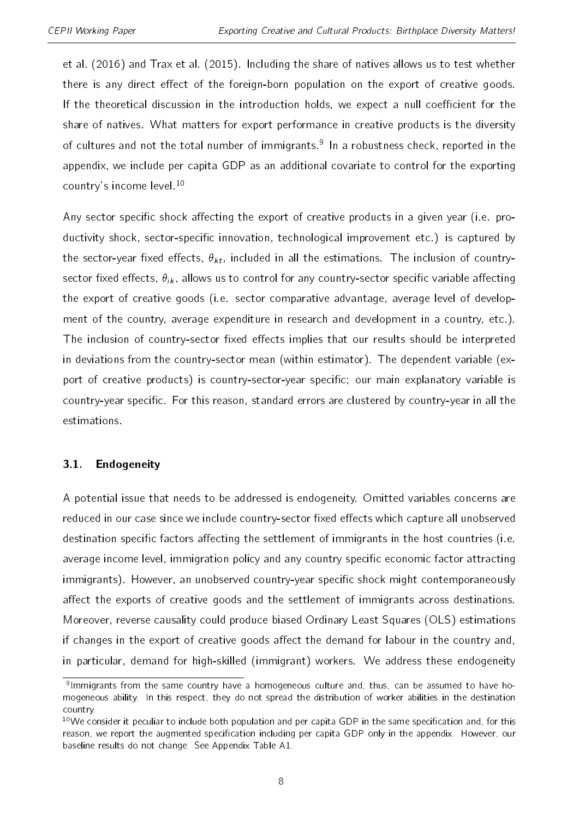[et al.](#page-25-0) [\(2016\)](#page-25-0) and [Trax et al.](#page-26-3) [\(2015\)](#page-26-3). Including the share of natives allows us to test whether there is any direct effect of the foreign-born population on the export of creative goods. If the theoretical discussion in the introduction holds, we expect a null coefficient for the share of natives. What matters for export performance in creative products is the diversity of cultures and not the total number of immigrants.<sup>[9](#page-2-0)</sup> In a robustness check, reported in the appendix, we include per capita GDP as an additional covariate to control for the exporting country's income level.<sup>[10](#page-2-0)</sup>

Any sector specific shock affecting the export of creative products in a given year (i.e. productivity shock, sector-specific innovation, technological improvement etc.) is captured by the sector-year fixed effects,  $\theta_{kt}$ , included in all the estimations. The inclusion of countrysector fixed effects,  $\theta_{ik}$ , allows us to control for any country-sector specific variable affecting the export of creative goods (i.e. sector comparative advantage, average level of development of the country, average expenditure in research and development in a country, etc.). The inclusion of country-sector fixed effects implies that our results should be interpreted in deviations from the country-sector mean (within estimator). The dependent variable (export of creative products) is country-sector-year specific; our main explanatory variable is country-year specific. For this reason, standard errors are clustered by country-year in all the estimations.

# <span id="page-7-0"></span>3.1. Endogeneity

A potential issue that needs to be addressed is endogeneity. Omitted variables concerns are reduced in our case since we include country-sector fixed effects which capture all unobserved destination specific factors affecting the settlement of immigrants in the host countries (i.e. average income level, immigration policy and any country specific economic factor attracting immigrants). However, an unobserved country-year specific shock might contemporaneously affect the exports of creative goods and the settlement of immigrants across destinations. Moreover, reverse causality could produce biased Ordinary Least Squares (OLS) estimations if changes in the export of creative goods affect the demand for labour in the country and, in particular, demand for high-skilled (immigrant) workers. We address these endogeneity

<sup>&</sup>lt;sup>9</sup>lmmigrants from the same country have a homogeneous culture and, thus, can be assumed to have homogeneous ability. In this respect, they do not spread the distribution of worker abilities in the destination country.

<sup>&</sup>lt;sup>10</sup>We consider it peculiar to include both population and per capita GDP in the same specification and, for this reason, we report the augmented specification including per capita GDP only in the appendix. However, our baseline results do not change. See Appendix Table [A1.](#page-27-0)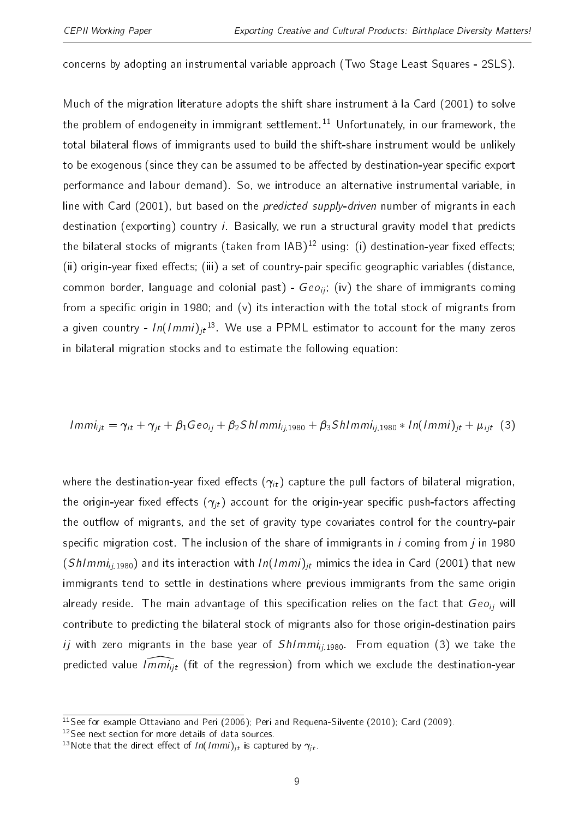concerns by adopting an instrumental variable approach (Two Stage Least Squares - 2SLS).

Much of the migration literature adopts the shift share instrument à la [Card](#page-25-10) [\(2001\)](#page-25-10) to solve the problem of endogeneity in immigrant settlement.<sup>[11](#page-2-0)</sup> Unfortunately, in our framework, the total bilateral flows of immigrants used to build the shift-share instrument would be unlikely to be exogenous (since they can be assumed to be affected by destination-year specific export performance and labour demand). So, we introduce an alternative instrumental variable, in line with [Card](#page-25-10) [\(2001\)](#page-25-10), but based on the predicted supply-driven number of migrants in each destination (exporting) country *i*. Basically, we run a structural gravity model that predicts the bilateral stocks of migrants (taken from  $IAB$ )<sup>[12](#page-2-0)</sup> using: (i) destination-year fixed effects; (ii) origin-year fixed effects; (iii) a set of country-pair specific geographic variables (distance, common border, language and colonial past) -  $Geo_{ii}$ ; (iv) the share of immigrants coming from a specific origin in 1980; and  $(v)$  its interaction with the total stock of migrants from a given country -  $In(Immi)_{jt}^{13}$  $In(Immi)_{jt}^{13}$  $In(Immi)_{jt}^{13}$ . We use a PPML estimator to account for the many zeros in bilateral migration stocks and to estimate the following equation:

<span id="page-8-0"></span>
$$
Immi_{ijt} = \gamma_{it} + \gamma_{jt} + \beta_1 \text{Geo}_{ij} + \beta_2 \text{Shlmmi}_{ij,1980} + \beta_3 \text{Shlmmi}_{ij,1980} * In(Immi)_{jt} + \mu_{ijt}
$$
 (3)

where the destination-year fixed effects  $(\gamma_{it})$  capture the pull factors of bilateral migration, the origin-year fixed effects  $(\gamma_{it})$  account for the origin-year specific push-factors affecting the outflow of migrants, and the set of gravity type covariates control for the country-pair specific migration cost. The inclusion of the share of immigrants in  $i$  coming from  $j$  in 1980 (ShImmi<sub>ii,1980</sub>) and its interaction with  $ln(1mm)_{it}$  mimics the idea in [Card](#page-25-10) [\(2001\)](#page-25-10) that new immigrants tend to settle in destinations where previous immigrants from the same origin already reside. The main advantage of this specification relies on the fact that  $Geo_{ii}$  will contribute to predicting the bilateral stock of migrants also for those origin-destination pairs ij with zero migrants in the base year of  $Sh/mm_{ii,1980}$ . From equation [\(3\)](#page-8-0) we take the predicted value  $\widehat{Imm_{ijt}}$  (fit of the regression) from which we exclude the destination-year

<sup>&</sup>lt;sup>11</sup>See for example [Ottaviano and Peri](#page-26-2) [\(2006\)](#page-26-2); [Peri and Requena-Silvente](#page-26-8) [\(2010\)](#page-26-8); [Card](#page-25-11) [\(2009\)](#page-25-11).

<sup>12</sup>See next section for more details of data sources.

<sup>&</sup>lt;sup>13</sup>Note that the direct effect of  $ln(1mmi)_{jt}$  is captured by  $\gamma_{jt}$ .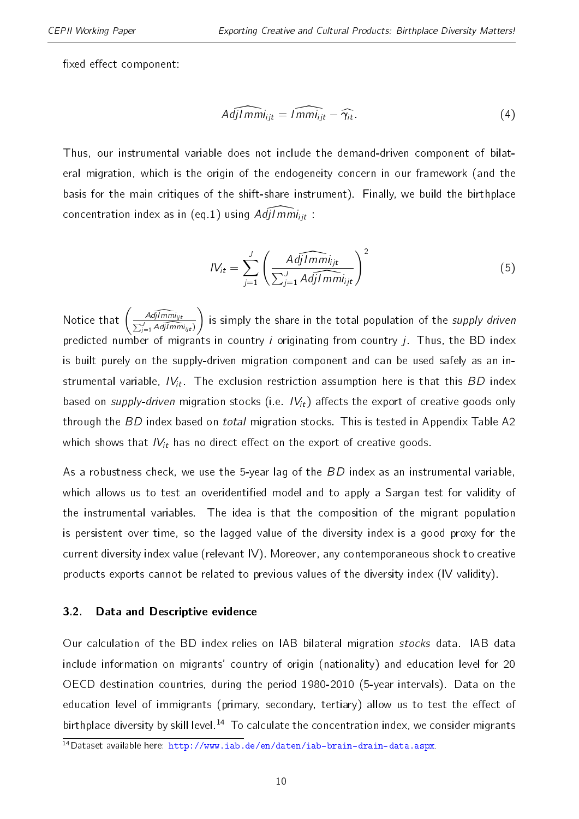fixed effect component:

$$
\widehat{Adj|mmi_{ijt}} = \widehat{lmmi_{ijt}} - \widehat{\gamma_{it}}.
$$
\n(4)

Thus, our instrumental variable does not include the demand-driven component of bilateral migration, which is the origin of the endogeneity concern in our framework (and the basis for the main critiques of the shift-share instrument). Finally, we build the birthplace concentration index as in (eq[.1\)](#page-5-0) using  $Adj|Imm|_{ijt}$  :

$$
IV_{it} = \sum_{j=1}^{J} \left( \frac{AdjImmi_{ijt}}{\sum_{j=1}^{J} AdjImmi_{ijt}} \right)^{2}
$$
(5)

Notice that  $\left( \frac{Adj( m m_{ij} )}{\sum_{i=1}^{J} \mathcal{N}^{(i)}_{i}} \right)$  $\frac{A d \widehat{j \mid mm} i_{ijt}}{\sum_{j=1}^{J} Adj \mid mm i_{ijt})}$ is simply the share in the total population of the supply driven predicted number of migrants in country i originating from country  $j$ . Thus, the BD index is built purely on the supply-driven migration component and can be used safely as an instrumental variable,  $IV_{it}$ . The exclusion restriction assumption here is that this BD index based on supply-driven migration stocks (i.e.  $IV_{it}$ ) affects the export of creative goods only through the BD index based on *total* migration stocks. This is tested in Appendix Table [A2](#page-28-0) which shows that  $IV_{it}$  has no direct effect on the export of creative goods.

As a robustness check, we use the 5-year lag of the BD index as an instrumental variable, which allows us to test an overidentified model and to apply a Sargan test for validity of the instrumental variables. The idea is that the composition of the migrant population is persistent over time, so the lagged value of the diversity index is a good proxy for the current diversity index value (relevant IV). Moreover, any contemporaneous shock to creative products exports cannot be related to previous values of the diversity index (IV validity).

#### <span id="page-9-0"></span>3.2. Data and Descriptive evidence

Our calculation of the BD index relies on IAB bilateral migration stocks data. IAB data include information on migrants' country of origin (nationality) and education level for 20 OECD destination countries, during the period 1980-2010 (5-year intervals). Data on the education level of immigrants (primary, secondary, tertiary) allow us to test the effect of birthplace diversity by skill level.<sup>[14](#page-2-0)</sup> To calculate the concentration index, we consider migrants

<sup>14</sup>Dataset available here: [http://www.iab.de/en/daten/iab-brain-drain-data.aspx.](http://www.iab.de/en/daten/iab-brain-drain-data.aspx)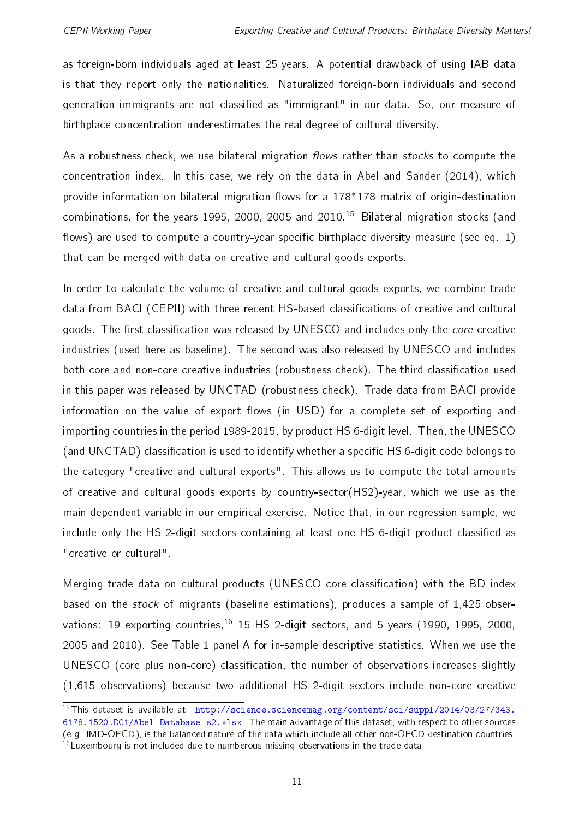as foreign-born individuals aged at least 25 years. A potential drawback of using IAB data is that they report only the nationalities. Naturalized foreign-born individuals and second generation immigrants are not classified as "immigrant" in our data. So, our measure of birthplace concentration underestimates the real degree of cultural diversity.

As a robustness check, we use bilateral migration flows rather than stocks to compute the concentration index. In this case, we rely on the data in [Abel and Sander](#page-25-12) [\(2014\)](#page-25-12), which provide information on bilateral migration flows for a  $178*178$  matrix of origin-destination combinations, for the years 1995, 2000, 2005 and 2010.[15](#page-2-0) Bilateral migration stocks (and flows) are used to compute a country-year specific birthplace diversity measure (see eq. [1\)](#page-5-0) that can be merged with data on creative and cultural goods exports.

In order to calculate the volume of creative and cultural goods exports, we combine trade data from BACI (CEPII) with three recent HS-based classifications of creative and cultural goods. The first classification was released by UNESCO and includes only the core creative industries (used here as baseline). The second was also released by UNESCO and includes both core and non-core creative industries (robustness check). The third classification used in this paper was released by UNCTAD (robustness check). Trade data from BACI provide information on the value of export flows (in USD) for a complete set of exporting and importing countries in the period 1989-2015, by product HS 6-digit level. Then, the UNESCO (and UNCTAD) classification is used to identify whether a specific HS 6-digit code belongs to the category "creative and cultural exports". This allows us to compute the total amounts of creative and cultural goods exports by country-sector(HS2)-year, which we use as the main dependent variable in our empirical exercise. Notice that, in our regression sample, we include only the HS 2-digit sectors containing at least one HS 6-digit product classified as "creative or cultural".

Merging trade data on cultural products (UNESCO core classification) with the BD index based on the stock of migrants (baseline estimations), produces a sample of 1,425 observations: 19 exporting countries,  $16$  15 HS 2-digit sectors, and 5 years (1990, 1995, 2000, 2005 and 2010). See Table [1](#page-18-0) panel A for in-sample descriptive statistics. When we use the UNESCO (core plus non-core) classification, the number of observations increases slightly (1,615 observations) because two additional HS 2-digit sectors include non-core creative

<sup>&</sup>lt;sup>15</sup>This dataset is available at: [http://science.sciencemag.org/content/sci/suppl/2014/03/27/343.](http://science.sciencemag.org/content/sci/suppl/2014/03/27/343.6178.1520.DC1/Abel-Database-s2.xlsx) [6178.1520.DC1/Abel-Database-s2.xlsx.](http://science.sciencemag.org/content/sci/suppl/2014/03/27/343.6178.1520.DC1/Abel-Database-s2.xlsx) The main advantage of this dataset, with respect to other sources (e.g. IMD-OECD), is the balanced nature of the data which include all other non-OECD destination countries. <sup>16</sup> Luxembourg is not included due to numberous missing observations in the trade data.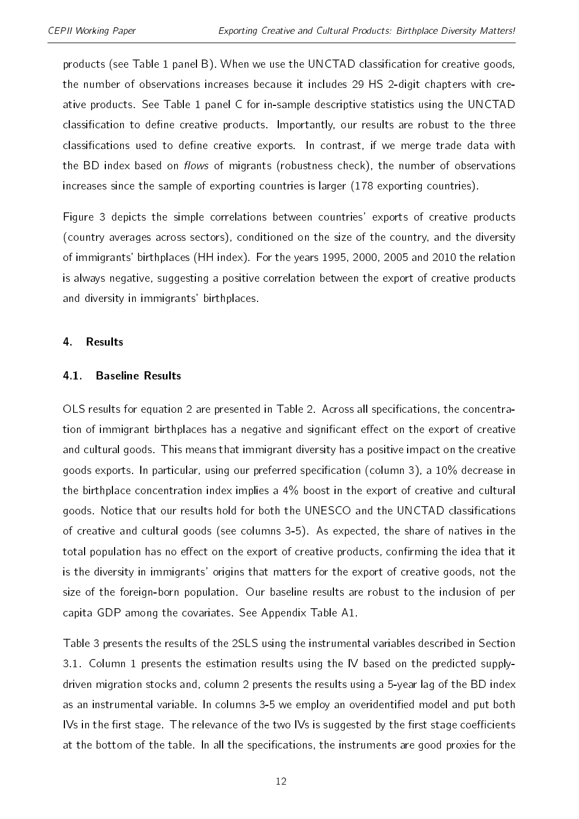products (see Table [1](#page-18-0) panel B). When we use the UNCTAD classification for creative goods, the number of observations increases because it includes 29 HS 2-digit chapters with creative products. See Table [1](#page-18-0) panel C for in-sample descriptive statistics using the UNCTAD classification to define creative products. Importantly, our results are robust to the three classifications used to define creative exports. In contrast, if we merge trade data with the BD index based on *flows* of migrants (robustness check), the number of observations increases since the sample of exporting countries is larger (178 exporting countries).

Figure [3](#page-17-0) depicts the simple correlations between countries' exports of creative products (country averages across sectors), conditioned on the size of the country, and the diversity of immigrants' birthplaces (HH index). For the years 1995, 2000, 2005 and 2010 the relation is always negative, suggesting a positive correlation between the export of creative products and diversity in immigrants' birthplaces.

#### 4. Results

#### 4.1. Baseline Results

OLS results for equation [2](#page-6-0) are presented in Table [2.](#page-19-0) Across all specifications, the concentration of immigrant birthplaces has a negative and significant effect on the export of creative and cultural goods. This means that immigrant diversity has a positive impact on the creative goods exports. In particular, using our preferred specification (column 3), a 10% decrease in the birthplace concentration index implies a 4% boost in the export of creative and cultural goods. Notice that our results hold for both the UNESCO and the UNCTAD classifications of creative and cultural goods (see columns 3-5). As expected, the share of natives in the total population has no effect on the export of creative products, confirming the idea that it is the diversity in immigrants' origins that matters for the export of creative goods, not the size of the foreign-born population. Our baseline results are robust to the inclusion of per capita GDP among the covariates. See Appendix Table [A1.](#page-27-0)

Table [3](#page-20-0) presents the results of the 2SLS using the instrumental variables described in Section [3.1.](#page-7-0) Column 1 presents the estimation results using the IV based on the predicted supplydriven migration stocks and, column 2 presents the results using a 5-year lag of the BD index as an instrumental variable. In columns 3-5 we employ an overidentified model and put both IVs in the first stage. The relevance of the two IVs is suggested by the first stage coefficients at the bottom of the table. In all the specifications, the instruments are good proxies for the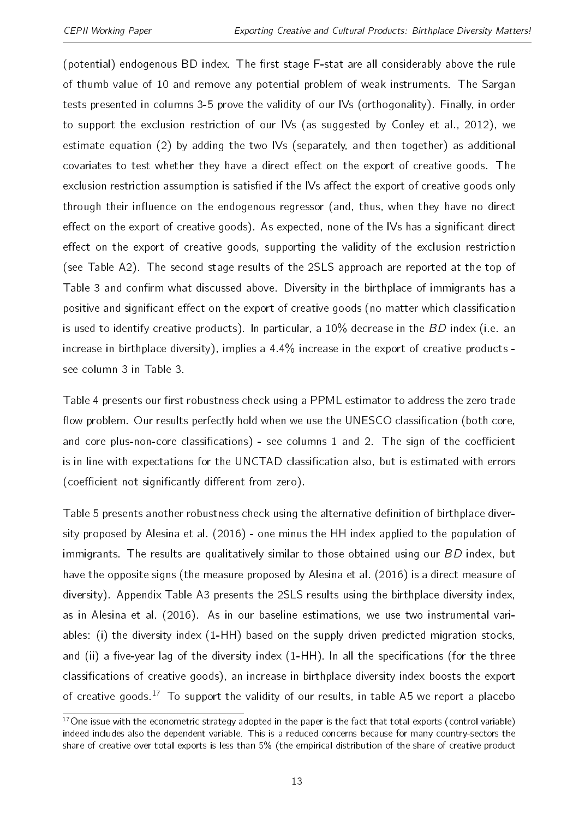(potential) endogenous BD index. The first stage F-stat are all considerably above the rule of thumb value of 10 and remove any potential problem of weak instruments. The Sargan tests presented in columns 3-5 prove the validity of our IVs (orthogonality). Finally, in order to support the exclusion restriction of our IVs (as suggested by [Conley et al.,](#page-25-13) [2012\)](#page-25-13), we estimate equation [\(2\)](#page-6-0) by adding the two IVs (separately, and then together) as additional covariates to test whether they have a direct effect on the export of creative goods. The exclusion restriction assumption is satisfied if the IVs affect the export of creative goods only through their influence on the endogenous regressor (and, thus, when they have no direct effect on the export of creative goods). As expected, none of the IVs has a significant direct effect on the export of creative goods, supporting the validity of the exclusion restriction (see Table [A2\)](#page-28-0). The second stage results of the 2SLS approach are reported at the top of Table [3](#page-20-0) and confirm what discussed above. Diversity in the birthplace of immigrants has a positive and significant effect on the export of creative goods (no matter which classification is used to identify creative products). In particular, a  $10\%$  decrease in the BD index (i.e. an increase in birthplace diversity), implies a 4.4% increase in the export of creative products see column 3 in Table [3.](#page-20-0)

Table [4](#page-21-0) presents our first robustness check using a PPML estimator to address the zero trade flow problem. Our results perfectly hold when we use the UNESCO classification (both core, and core plus-non-core classifications) - see columns  $1$  and  $2$ . The sign of the coefficient is in line with expectations for the UNCTAD classification also, but is estimated with errors (coefficient not significantly different from zero).

Table [5](#page-21-1) presents another robustness check using the alternative definition of birthplace diversity proposed by [Alesina et al.](#page-25-0) [\(2016\)](#page-25-0) - one minus the HH index applied to the population of immigrants. The results are qualitatively similar to those obtained using our BD index, but have the opposite signs (the measure proposed by [Alesina et al.](#page-25-0) [\(2016\)](#page-25-0) is a direct measure of diversity). Appendix Table [A3](#page-29-0) presents the 2SLS results using the birthplace diversity index, as in [Alesina et al.](#page-25-0) [\(2016\)](#page-25-0). As in our baseline estimations, we use two instrumental variables: (i) the diversity index (1-HH) based on the supply driven predicted migration stocks, and (ii) a five-year lag of the diversity index  $(1-HH)$ . In all the specifications (for the three classifications of creative goods), an increase in birthplace diversity index boosts the export of creative goods.<sup>[17](#page-2-0)</sup> To support the validity of our results, in table [A5](#page-31-0) we report a placebo

 $17$ One issue with the econometric strategy adopted in the paper is the fact that total exports (control variable) indeed includes also the dependent variable. This is a reduced concerns because for many country-sectors the share of creative over total exports is less than 5% (the empirical distribution of the share of creative product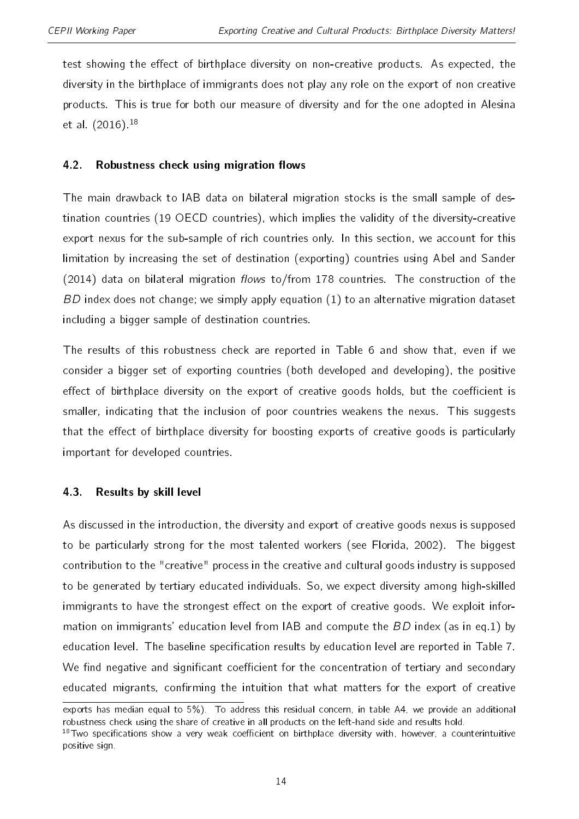test showing the effect of birthplace diversity on non-creative products. As expected, the diversity in the birthplace of immigrants does not play any role on the export of non creative products. This is true for both our measure of diversity and for the one adopted in [Alesina](#page-25-0) [et al.](#page-25-0) [\(2016\)](#page-25-0).[18](#page-2-0)

# 4.2. Robustness check using migration flows

The main drawback to IAB data on bilateral migration stocks is the small sample of destination countries (19 OECD countries), which implies the validity of the diversity-creative export nexus for the sub-sample of rich countries only. In this section, we account for this limitation by increasing the set of destination (exporting) countries using [Abel and Sander](#page-25-12) [\(2014\)](#page-25-12) data on bilateral migration flows to/from 178 countries. The construction of the  $BD$  index does not change; we simply apply equation  $(1)$  to an alternative migration dataset including a bigger sample of destination countries.

The results of this robustness check are reported in Table [6](#page-22-0) and show that, even if we consider a bigger set of exporting countries (both developed and developing), the positive effect of birthplace diversity on the export of creative goods holds, but the coefficient is smaller, indicating that the inclusion of poor countries weakens the nexus. This suggests that the effect of birthplace diversity for boosting exports of creative goods is particularly important for developed countries.

# 4.3. Results by skill level

As discussed in the introduction, the diversity and export of creative goods nexus is supposed to be particularly strong for the most talented workers (see [Florida,](#page-25-1) [2002\)](#page-25-1). The biggest contribution to the "creative" process in the creative and cultural goods industry is supposed to be generated by tertiary educated individuals. So, we expect diversity among high-skilled immigrants to have the strongest effect on the export of creative goods. We exploit information on immigrants' education level from IAB and compute the BD index (as in eq[.1\)](#page-5-0) by education level. The baseline specification results by education level are reported in Table [7.](#page-23-0) We find negative and significant coefficient for the concentration of tertiary and secondary educated migrants, confirming the intuition that what matters for the export of creative

exports has median equal to 5%). To address this residual concern, in table [A4,](#page-30-0) we provide an additional robustness check using the share of creative in all products on the left-hand side and results hold.

 $18$ Two specifications show a very weak coefficient on birthplace diversity with, however, a counterintuitive positive sign.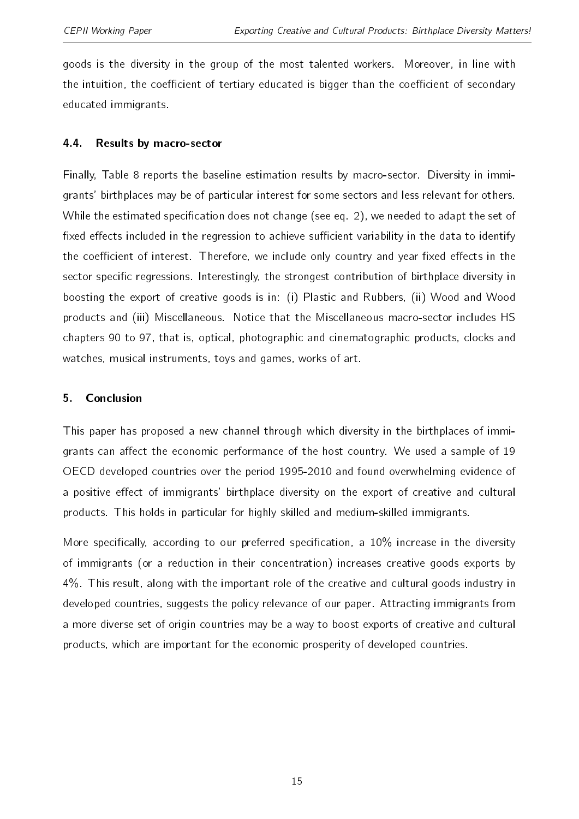goods is the diversity in the group of the most talented workers. Moreover, in line with the intuition, the coefficient of tertiary educated is bigger than the coefficient of secondary educated immigrants.

# 4.4. Results by macro-sector

Finally, Table [8](#page-24-0) reports the baseline estimation results by macro-sector. Diversity in immigrants' birthplaces may be of particular interest for some sectors and less relevant for others. While the estimated specification does not change (see eq. [2\)](#page-6-0), we needed to adapt the set of fixed effects included in the regression to achieve sufficient variability in the data to identify the coefficient of interest. Therefore, we include only country and year fixed effects in the sector specific regressions. Interestingly, the strongest contribution of birthplace diversity in boosting the export of creative goods is in: (i) Plastic and Rubbers, (ii) Wood and Wood products and (iii) Miscellaneous. Notice that the Miscellaneous macro-sector includes HS chapters 90 to 97, that is, optical, photographic and cinematographic products, clocks and watches, musical instruments, toys and games, works of art.

# 5. Conclusion

This paper has proposed a new channel through which diversity in the birthplaces of immigrants can affect the economic performance of the host country. We used a sample of 19 OECD developed countries over the period 1995-2010 and found overwhelming evidence of a positive effect of immigrants' birthplace diversity on the export of creative and cultural products. This holds in particular for highly skilled and medium-skilled immigrants.

More specifically, according to our preferred specification, a  $10\%$  increase in the diversity of immigrants (or a reduction in their concentration) increases creative goods exports by 4%. This result, along with the important role of the creative and cultural goods industry in developed countries, suggests the policy relevance of our paper. Attracting immigrants from a more diverse set of origin countries may be a way to boost exports of creative and cultural products, which are important for the economic prosperity of developed countries.

15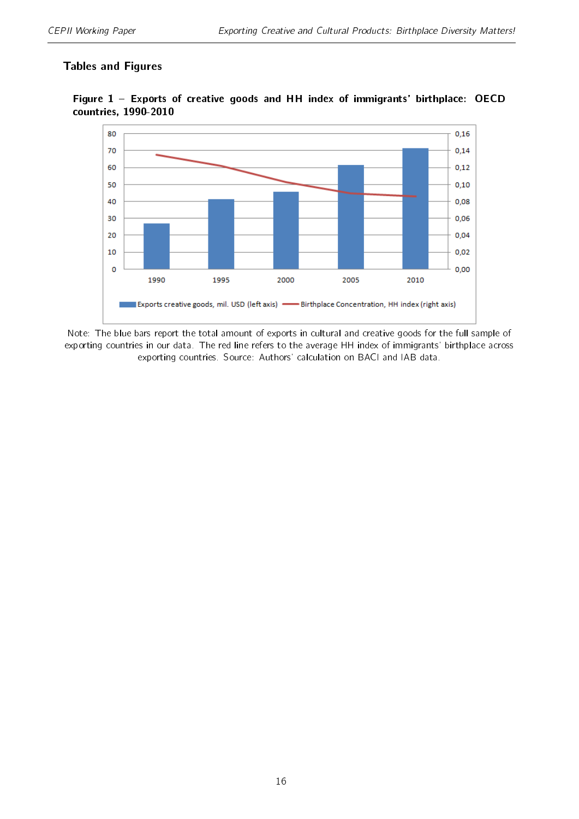# Tables and Figures



<span id="page-15-0"></span>Figure 1 Exports of creative goods and HH index of immigrants' birthplace: OECD countries, 1990-2010

Note: The blue bars report the total amount of exports in cultural and creative goods for the full sample of exporting countries in our data. The red line refers to the average HH index of immigrants' birthplace across exporting countries. Source: Authors' calculation on BACI and IAB data.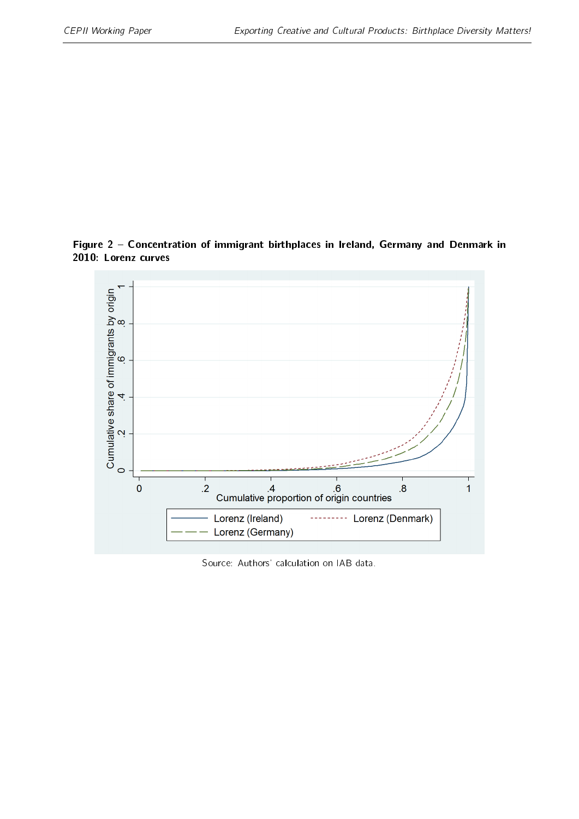<span id="page-16-0"></span>Figure 2 Concentration of immigrant birthplaces in Ireland, Germany and Denmark in 2010: Lorenz curves



Source: Authors' calculation on IAB data.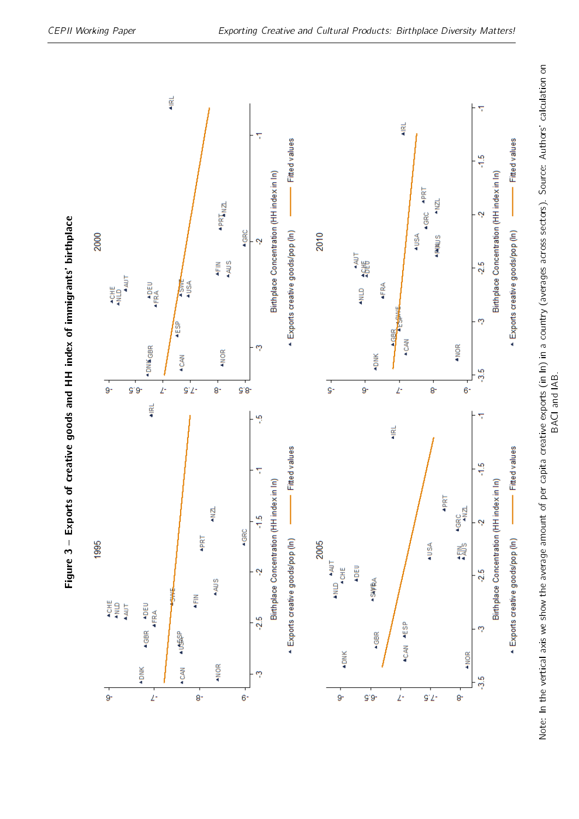<span id="page-17-0"></span>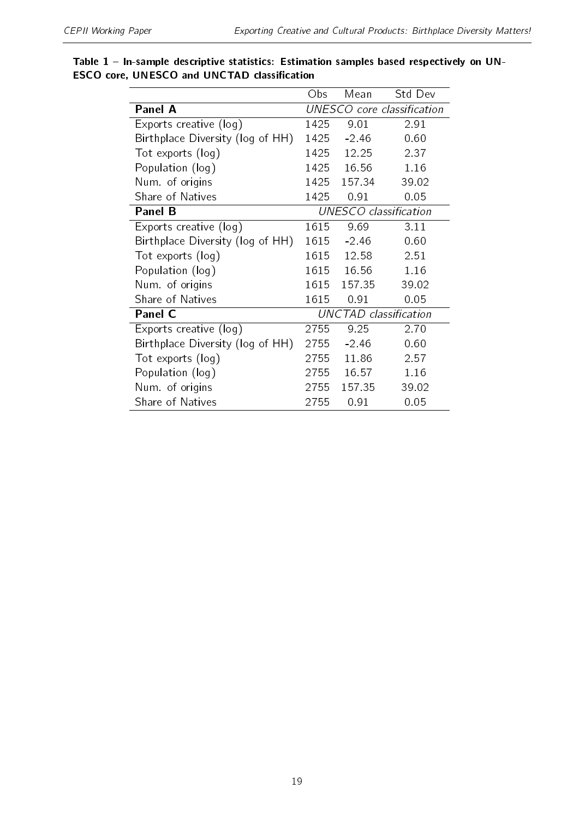|                                  | Obs  | Mean    | Std Dev                    |
|----------------------------------|------|---------|----------------------------|
| <b>Panel A</b>                   |      |         | UNESCO core classification |
| Exports creative (log)           | 1425 | 9.01    | 2.91                       |
| Birthplace Diversity (log of HH) | 1425 | $-2.46$ | 0.60                       |
| Tot exports (log)                | 1425 | 12.25   | 2 3 7                      |
| Population (log)                 | 1425 | 1656    | 1.16                       |
| Num of origins                   | 1425 | 157 34  | 39.02                      |
| Share of Natives                 | 1425 | 0.91    | 0.05                       |
| <b>Panel B</b>                   |      |         | UNESCO classification      |
| Exports creative (log)           | 1615 | 9.69    | 3.11                       |
| Birthplace Diversity (log of HH) | 1615 | $-2.46$ | 0.60                       |
| Tot exports (log)                | 1615 | 12.58   | 251                        |
| Population (log)                 | 1615 | 16.56   | 1.16                       |
| Num of origins                   | 1615 | 157.35  | 39.02                      |
| Share of Natives                 | 1615 | 0.91    | 0.05                       |
| <b>Panel C</b>                   |      |         | UNCTAD classification      |
| Exports creative (log)           | 2755 | 9.25    | 2.70                       |
| Birthplace Diversity (log of HH) | 2755 | $-2.46$ | 0.60                       |
| Tot exports (log)                | 2755 | 11.86   | 2 5 7                      |
| Population (log)                 | 2755 | 16 57   | 1.16                       |
| Num of origins                   | 2755 | 157 35  | 39.02                      |
| Share of Natives                 | 2755 | 0.91    | 0.05                       |

<span id="page-18-0"></span>Table  $1$  - In-sample descriptive statistics: Estimation samples based respectively on UN-ESCO core, UNESCO and UNCTAD classification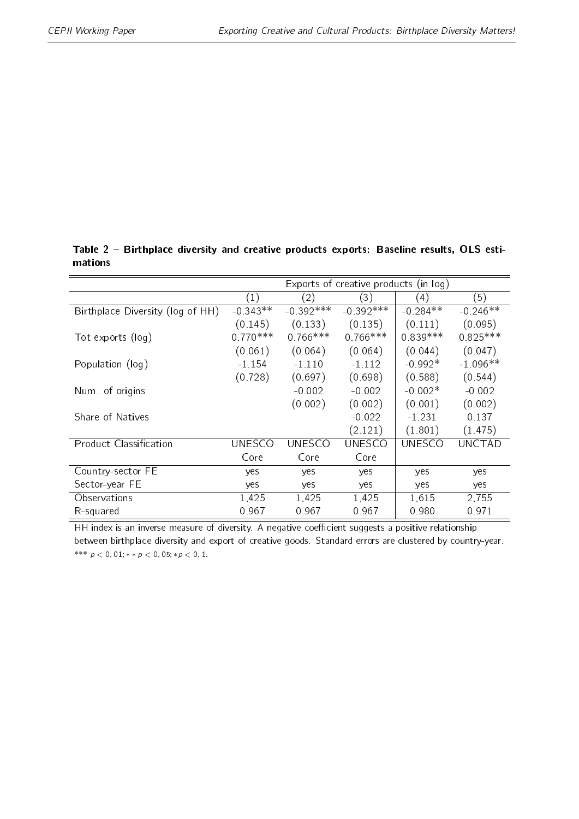|                                  | Exports of creative products (in log) |               |               |               |               |
|----------------------------------|---------------------------------------|---------------|---------------|---------------|---------------|
|                                  | (1)                                   | (2)           | (3)           | (4)           | (5)           |
| Birthplace Diversity (log of HH) | $-0.343**$                            | $-0.392***$   | $-0.392***$   | $-0.284**$    | $-0.246**$    |
|                                  | (0.145)                               | (0.133)       | (0.135)       | (0.111)       | (0.095)       |
| Tot exports (log)                | $0.770***$                            | $0.766***$    | $0.766***$    | $0.839***$    | $0.825***$    |
|                                  | (0.061)                               | (0.064)       | (0.064)       | (0.044)       | (0.047)       |
| Population (log)                 | $-1154$                               | $-1110$       | $-1$ 112      | $-0.992*$     | $-1.096**$    |
|                                  | (0.728)                               | (0.697)       | (0.698)       | (0.588)       | (0.544)       |
| Num of origins                   |                                       | $-0.002$      | $-0.002$      | $-0.002*$     | $-0.002$      |
|                                  |                                       | (0.002)       | (0.002)       | (0.001)       | (0.002)       |
| Share of Natives                 |                                       |               | $-0.022$      | -1 231        | 0 1 3 7       |
|                                  |                                       |               | (2.121)       | (1.801)       | (1.475)       |
| <b>Product Classification</b>    | UNESCO                                | <b>UNESCO</b> | <b>UNESCO</b> | <b>UNESCO</b> | <b>UNCTAD</b> |
|                                  | Core                                  | Core          | Core          |               |               |
| Country-sector FE                | yes                                   | yes           | yes           | yes           | yes           |
| Sector-year FE                   | yes                                   | yes           | yes           | yes           | yes           |
| Observations                     | 1,425                                 | 1,425         | 1,425         | 1,615         | 2,755         |
| R-squared                        | 0967                                  | 0.967         | 0.967         | 0.980         | 0971          |

<span id="page-19-0"></span>Table 2 - Birthplace diversity and creative products exports: Baseline results, OLS estimations

HH index is an inverse measure of diversity. A negative coefficient suggests a positive relationship between birthplace diversity and export of creative goods. Standard errors are clustered by country-year. \*\*\*  $p < 0,01$ ; \* \*  $p < 0,05$ ; \*  $p < 0,1$ .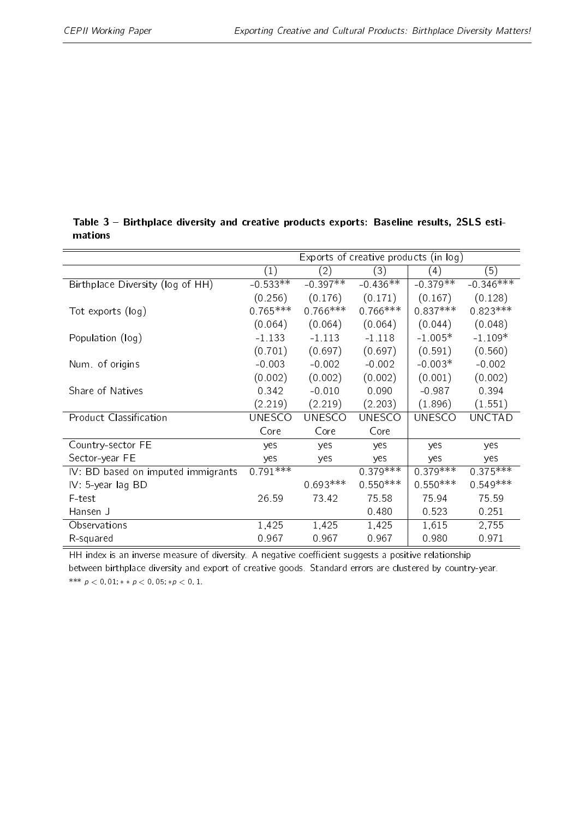|                                    |               |               | Exports of creative products (in log) |               |               |
|------------------------------------|---------------|---------------|---------------------------------------|---------------|---------------|
|                                    | (1)           | (2)           | (3)                                   | (4)           | (5)           |
| Birthplace Diversity (log of HH)   | $-0.533**$    | $-0.397**$    | $-0.436**$                            | $-0.379**$    | $-0.346***$   |
|                                    | (0.256)       | (0.176)       | (0.171)                               | (0.167)       | (0.128)       |
| Tot exports (log)                  | $0.765***$    | $0.766***$    | $0.766***$                            | $0.837***$    | $0.823***$    |
|                                    | (0.064)       | (0.064)       | (0.064)                               | (0.044)       | (0.048)       |
| Population (log)                   | $-1133$       | $-1$ 113      | $-1.118$                              | $-1.005*$     | $-1.109*$     |
|                                    | (0.701)       | (0.697)       | (0.697)                               | (0.591)       | (0.560)       |
| Num of origins                     | $-0.003$      | $-0.002$      | $-0.002$                              | $-0.003*$     | $-0.002$      |
|                                    | (0.002)       | (0.002)       | (0.002)                               | (0.001)       | (0.002)       |
| Share of Natives                   | 0.342         | $-0.010$      | 0.090                                 | $-0.987$      | 0.394         |
|                                    | (2.219)       | (2.219)       | (2.203)                               | (1.896)       | (1.551)       |
| <b>Product Classification</b>      | <b>UNESCO</b> | <b>UNESCO</b> | <b>UNESCO</b>                         | <b>UNESCO</b> | <b>UNCTAD</b> |
|                                    | Core          | Core          | Core                                  |               |               |
| Country-sector FE                  | yes           | yes           | yes                                   | yes           | yes           |
| Sector-year FE                     | yes           | yes           | yes                                   | yes           | yes           |
| IV: BD based on imputed immigrants | $0.791***$    |               | $0.379***$                            | $0.379***$    | $0.375***$    |
| $IV: 5-year lag BD$                |               | $0.693***$    | $0.550***$                            | $0.550***$    | $0.549***$    |
| F-test                             | 26.59         | 73 42         | 75.58                                 | 75.94         | 75.59         |
| Hansen J                           |               |               | 0.480                                 | 0.523         | 0.251         |
| Observations                       | 1,425         | 1,425         | 1,425                                 | 1,615         | 2,755         |
| R-squared                          | 0.967         | 0.967         | 0.967                                 | 0.980         | 0.971         |
|                                    |               |               |                                       |               |               |

<span id="page-20-0"></span>Table 3 - Birthplace diversity and creative products exports: Baseline results, 2SLS estimations

HH index is an inverse measure of diversity. A negative coefficient suggests a positive relationship between birthplace diversity and export of creative goods. Standard errors are clustered by country-year. \*\*\*  $p < 0,01$ ; \* \*  $p < 0,05$ ; \*  $p < 0,1$ .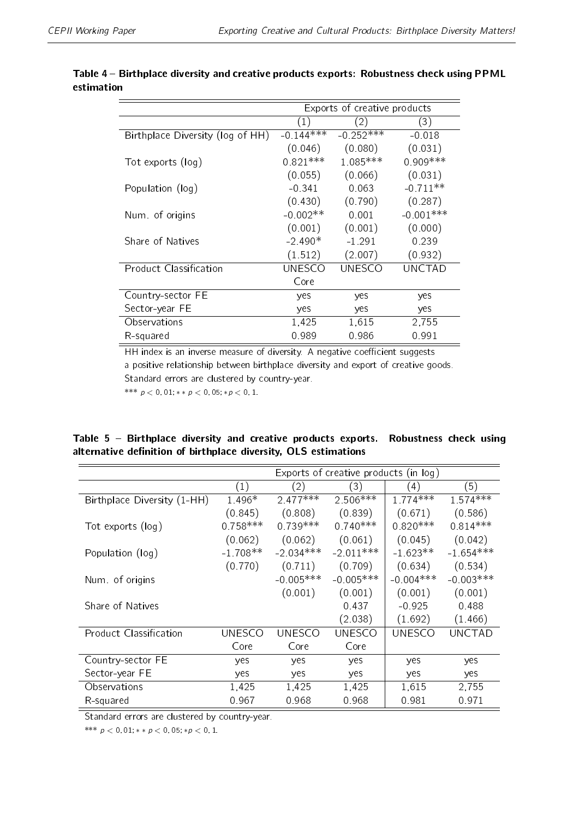|                                  | Exports of creative products |               |             |  |
|----------------------------------|------------------------------|---------------|-------------|--|
|                                  | (1)                          | (2)           | (3)         |  |
| Birthplace Diversity (log of HH) | $-0.144***$                  | $-0.252***$   | $-0.018$    |  |
|                                  | (0.046)                      | (0.080)       | (0.031)     |  |
| Tot exports (log)                | $0.821***$                   | 1.085 ***     | $0.909***$  |  |
|                                  | (0.055)                      | (0.066)       | (0.031)     |  |
| Population (log)                 | $-0.341$                     | 0.063         | $-0.711**$  |  |
|                                  | (0.430)                      | (0.790)       | (0.287)     |  |
| Num of origins                   | $-0.002**$                   | 0.001         | $-0.001***$ |  |
|                                  | (0.001)                      | (0.001)       | (0.000)     |  |
| Share of Natives                 | $-2.490*$                    | $-1.291$      | 0.239       |  |
|                                  | (1.512)                      | (2.007)       | (0.932)     |  |
| Product Classification           | UNESCO                       | <b>UNESCO</b> | UNCTAD      |  |
|                                  | Core                         |               |             |  |
| Country-sector FE                | yes                          | yes           | yes         |  |
| Sector-year FE                   | yes                          | yes           | yes         |  |
| Observations                     | 1,425                        | 1,615         | 2,755       |  |
| R-squared                        | 0.989                        | 0.986         | 0.991       |  |

# <span id="page-21-0"></span>Table 4 - Birthplace diversity and creative products exports: Robustness check using PPML estimation

HH index is an inverse measure of diversity. A negative coefficient suggests a positive relationship between birthplace diversity and export of creative goods. Standard errors are clustered by country-year.

\*\*\*  $p < 0, 01$ ; \*\*  $p < 0, 05$ ; \* $p < 0, 1$ .

# <span id="page-21-1"></span>Table 5 - Birthplace diversity and creative products exports. Robustness check using alternative definition of birthplace diversity, OLS estimations

|                             | Exports of creative products (in log) |               |             |                  |             |
|-----------------------------|---------------------------------------|---------------|-------------|------------------|-------------|
|                             | (1)                                   | (2)           | (3)         | $\left(4\right)$ | (5)         |
| Birthplace Diversity (1-HH) | 1 496*                                | $2.477***$    | $2.506***$  | $1.774***$       | $1.574***$  |
|                             | (0.845)                               | (0.808)       | (0.839)     | (0.671)          | (0.586)     |
| Tot exports (log)           | $0.758***$                            | $0.739***$    | $0.740***$  | $0.820***$       | $0.814***$  |
|                             | (0.062)                               | (0.062)       | (0.061)     | (0.045)          | (0.042)     |
| Population (log)            | $-1.708**$                            | $-2.034***$   | $-2$ 011*** | $-1.623**$       | $-1.654***$ |
|                             | (0.770)                               | (0.711)       | (0.709)     | (0.634)          | (0.534)     |
| Num of origins              |                                       | $-0.005***$   | $-0.005***$ | $-0.004***$      | $-0.003***$ |
|                             |                                       | (0.001)       | (0.001)     | (0.001)          | (0.001)     |
| Share of Natives            |                                       |               | 0437        | $-0.925$         | 0.488       |
|                             |                                       |               | (2.038)     | (1.692)          | (1.466)     |
| Product Classification      | UNESCO                                | <b>UNESCO</b> | UNESCO      | UNESCO           | UNCTAD      |
|                             | Core                                  | Core          | Core        |                  |             |
| Country-sector FE           | yes                                   | yes           | yes         | yes              | yes         |
| Sector-year FE              | yes                                   | yes           | yes         | yes              | yes         |
| Observations                | 1,425                                 | 1,425         | 1,425       | 1,615            | 2,755       |
| R-squared                   | 0.967                                 | 0.968         | 0.968       | 0.981            | 0971        |

Standard errors are clustered by country-year.

\*\*\*  $p < 0, 01$ ; \*\*  $p < 0, 05$ ; \* $p < 0, 1$ .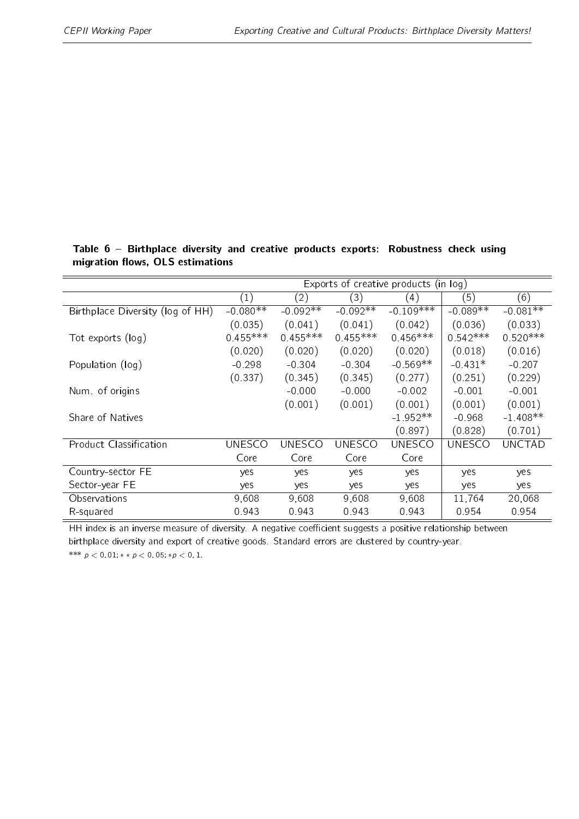|                                  | Exports of creative products (in log) |               |               |               |               |               |
|----------------------------------|---------------------------------------|---------------|---------------|---------------|---------------|---------------|
|                                  | (1)                                   | (2)           | (3)           | (4)           | (5)           | (6)           |
| Birthplace Diversity (log of HH) | $-0.080**$                            | $-0.092**$    | $-0.092**$    | $-0.109***$   | $-0.089**$    | $-0.081**$    |
|                                  | (0.035)                               | (0.041)       | (0.041)       | (0.042)       | (0.036)       | (0.033)       |
| Tot exports (log)                | $0.455***$                            | $0.455***$    | $0.455***$    | $0.456***$    | $0.542***$    | $0.520***$    |
|                                  | (0.020)                               | (0.020)       | (0.020)       | (0.020)       | (0.018)       | (0.016)       |
| Population (log)                 | $-0.298$                              | $-0.304$      | $-0.304$      | $-0.569**$    | $-0.431*$     | $-0.207$      |
|                                  | (0.337)                               | (0.345)       | (0.345)       | (0.277)       | (0.251)       | (0.229)       |
| Num. of origins                  |                                       | $-0.000$      | $-0.000$      | $-0.002$      | $-0.001$      | $-0.001$      |
|                                  |                                       | (0.001)       | (0.001)       | (0.001)       | (0.001)       | (0.001)       |
| Share of Natives                 |                                       |               |               | $-1.952**$    | $-0.968$      | $-1.408**$    |
|                                  |                                       |               |               | (0.897)       | (0.828)       | (0.701)       |
| Product Classification           | <b>UNESCO</b>                         | <b>UNESCO</b> | <b>UNESCO</b> | <b>UNESCO</b> | <b>UNESCO</b> | <b>UNCTAD</b> |
|                                  | Core                                  | Core          | Core          | Core          |               |               |
| Country-sector FE                | yes                                   | yes           | yes           | yes           | yes           | yes           |
| Sector-year FE                   | yes                                   | yes           | yes           | yes           | yes           | yes           |
| Observations                     | 9,608                                 | 9,608         | 9,608         | 9,608         | 11,764        | 20,068        |
| R-squared                        | 0.943                                 | 0.943         | 0 943         | 0.943         | 0.954         | 0.954         |

<span id="page-22-0"></span>Table 6 Birthplace diversity and creative products exports: Robustness check using migration flows, OLS estimations

HH index is an inverse measure of diversity. A negative coefficient suggests a positive relationship between birthplace diversity and export of creative goods. Standard errors are clustered by country-year. \*\*\*  $p < 0,01$ ; \* \*  $p < 0,05$ ; \* $p < 0,1$ .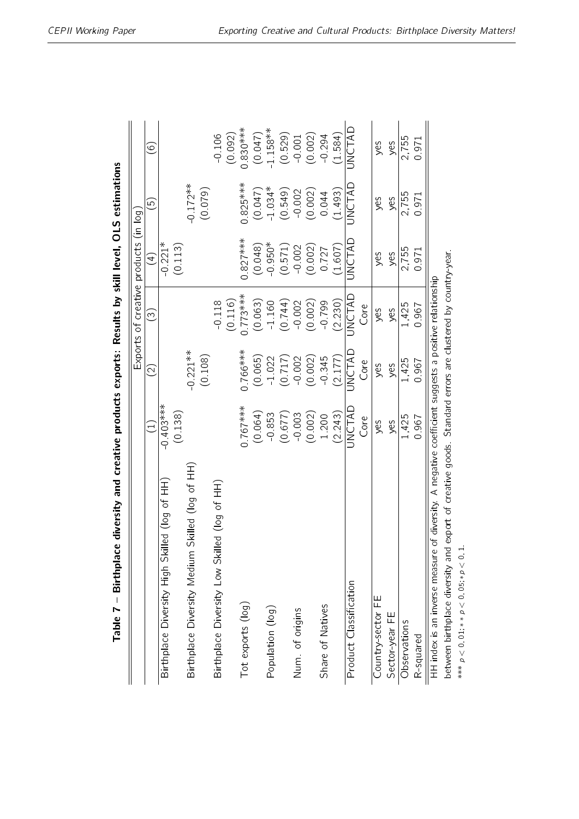| Table 7 – Birthplace diversity and creative products exports: Results by skill level, OLS estimations     |                        |                   |                       |                           |                      |                     |
|-----------------------------------------------------------------------------------------------------------|------------------------|-------------------|-----------------------|---------------------------|----------------------|---------------------|
|                                                                                                           |                        | Exports           | $\sigma$              | creative products (in log |                      |                     |
|                                                                                                           | $\Xi$                  | $\widehat{\odot}$ | $\widetilde{\omega}$  | $\bigoplus$               | ق                    | $\odot$             |
| Birthplace Diversity High Skilled (log of HH                                                              | $-0.403***$<br>(0.138) |                   |                       | $-0.221*$<br>(0.113)      |                      |                     |
| Skilled (log of HH)<br>Birthplace Diversity Medium                                                        |                        | $-0.221***$       |                       |                           | $-0.172**$           |                     |
|                                                                                                           |                        | (0.108)           |                       |                           | (0.079)              |                     |
| Birthplace Diversity Low Skilled (log of HH)                                                              |                        |                   | (0.116)<br>$-0.118$   |                           |                      | (0.092)<br>$-0.106$ |
| Tot exports (log)                                                                                         | $0.767***$             | $0.766***$        | $J.773***$            | $0.827***$                | $0.825***$           | $0.830***$          |
|                                                                                                           | (0.064)                | (0.065)           | $(0.063)$<br>$-1.160$ | (0.048)                   | $(0.047)$<br>-1.034* | (0.047)             |
| Population (log)                                                                                          | 0.853                  | $-1.022$          |                       | $-0.950*$                 |                      | $-1.158**$          |
|                                                                                                           | (0.677)                | (0.717)           | (0.744)               | (0.571)                   | (0.549)              | (0.529)             |
| Num. of origins                                                                                           | $-0.003$               | $-0.002$          | $-0.002$              | $-0.002$                  | $-0.002$             | $-0.001$            |
|                                                                                                           | (0.002)                | (0.002)           | (0.002)               | $(0.002)$<br>0.727        | (0.002)              | (0.002)             |
| Share of Natives                                                                                          | 1.200                  | $-0.345$          | $-0.799$              |                           | 0.044                | $-0.294$            |
|                                                                                                           | (2.243)                | (2177)            | (2.230)               | (1.607)                   | (1.493)              | (1.584)             |
| Product Classification                                                                                    | JNCTAD                 | JNCTAD            | UNCTAD                | JNCTAD                    | UNCTAD               | JNCTAD              |
|                                                                                                           | Core                   | Core              | Core                  |                           |                      |                     |
| Country-sector FE                                                                                         | yes                    | yes               | yes                   | yes                       | yes                  | yes                 |
| Sector-year FE                                                                                            | yes                    | yes               | yes                   | yes                       | yes                  | yes                 |
| Observations                                                                                              | 1,425                  | 1,425             | 1,425                 | 2,755                     | 2,755                | 2,755               |
| R-squared                                                                                                 | 0.967                  | 0.967             | 0.967                 | 0.971                     | 0.971                | 0.971               |
| HH index is an inverse measure of diversity. A negative coefficient suggests a positive relationship      |                        |                   |                       |                           |                      |                     |
| between birthplace diversity and export of creative goods. Standard errors are clustered by country-year. |                        |                   |                       |                           |                      |                     |
| *** $p < 0$ , 01; * $p < 0$ , 05; * $p < 0$ ,                                                             |                        |                   |                       |                           |                      |                     |

<span id="page-23-0"></span>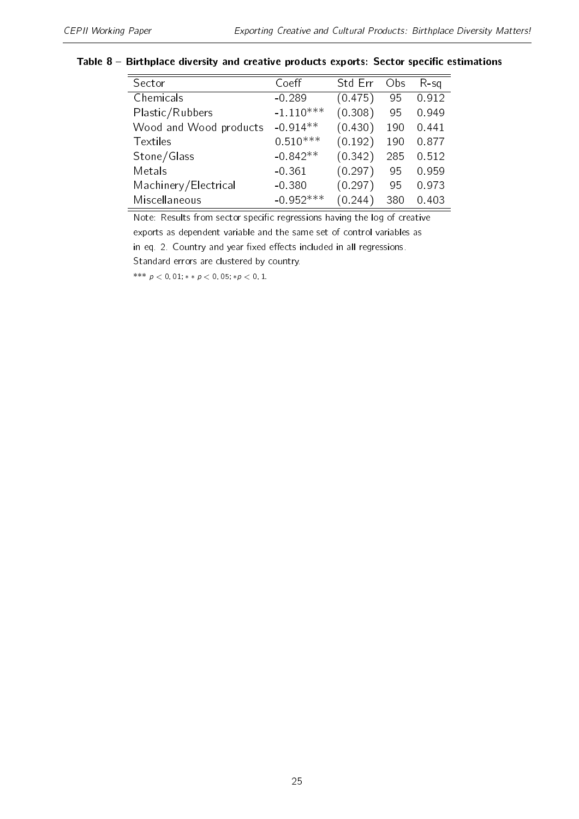#### <span id="page-24-0"></span>Table  $8$  – Birthplace diversity and creative products exports: Sector specific estimations

| Sector                 | Coeff       | Std Err | Obs | $R-Sq$ |
|------------------------|-------------|---------|-----|--------|
| Chemicals              | $-0.289$    | (0.475) | 95  | 0.912  |
| Plastic/Rubbers        | $-1.110***$ | (0.308) | 95  | 0.949  |
| Wood and Wood products | $-0.914**$  | (0.430) | 190 | 0.441  |
| <b>Textiles</b>        | $0.510***$  | (0.192) | 190 | 0877   |
| Stone/Glass            | $-0.842**$  | (0.342) | 285 | 0.512  |
| Metals                 | $-0.361$    | (0.297) | 95  | 0.959  |
| Machinery/Electrical   | $-0.380$    | (0.297) | 95  | 0.973  |
| Miscellaneous          | $-0.952***$ | (0.244) | 380 | 0.403  |

Note: Results from sector specific regressions having the log of creative exports as dependent variable and the same set of control variables as in eq. [2.](#page-6-0) Country and year fixed effects included in all regressions.

Standard errors are clustered by country.

\*\*\*  $p < 0,01$ ; \* \*  $p < 0,05$ ; \* $p < 0,1$ .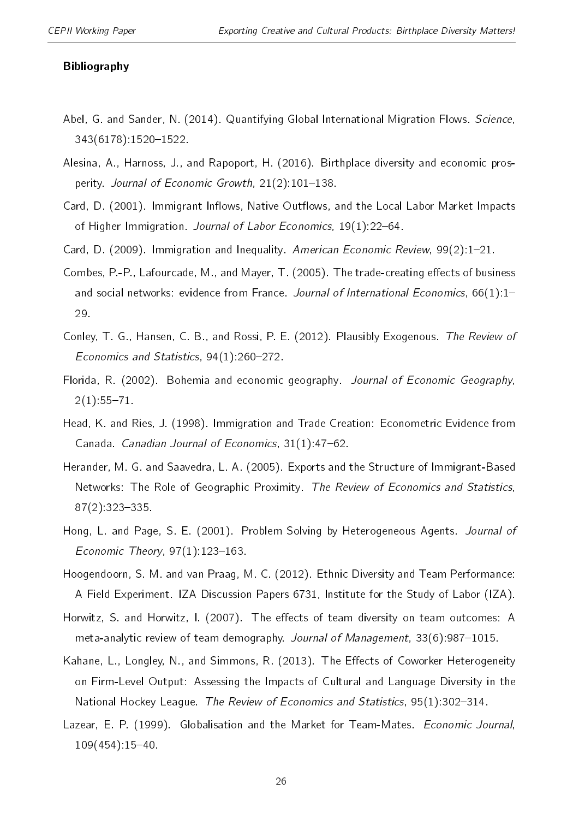#### Bibliography

- <span id="page-25-12"></span>Abel, G. and Sander, N. (2014). Quantifying Global International Migration Flows. Science, 343(6178):1520-1522.
- <span id="page-25-0"></span>Alesina, A., Harnoss, J., and Rapoport, H. (2016). Birthplace diversity and economic prosperity. Journal of Economic Growth,  $21(2)$ : 101-138.
- <span id="page-25-10"></span>Card, D. (2001). Immigrant Inflows, Native Outflows, and the Local Labor Market Impacts of Higher Immigration. Journal of Labor Economics, 19(1):22-64.
- <span id="page-25-11"></span>Card, D. (2009). Immigration and Inequality. American Economic Review, 99(2):1-21.
- <span id="page-25-8"></span>Combes, P.-P., Lafourcade, M., and Mayer, T. (2005). The trade-creating effects of business and social networks: evidence from France. Journal of International Economics,  $66(1)$ :1-29.
- <span id="page-25-13"></span>Conley, T. G., Hansen, C. B., and Rossi, P. E. (2012). Plausibly Exogenous. The Review of Economics and Statistics,  $94(1)$ : 260-272.
- <span id="page-25-1"></span>Florida, R. (2002). Bohemia and economic geography. Journal of Economic Geography,  $2(1).55 - 71.$
- <span id="page-25-7"></span>Head, K. and Ries, J. (1998). Immigration and Trade Creation: Econometric Evidence from Canada. Canadian Journal of Economics,  $31(1)$ : 47-62.
- <span id="page-25-9"></span>Herander, M. G. and Saavedra, L. A. (2005). Exports and the Structure of Immigrant-Based Networks: The Role of Geographic Proximity. The Review of Economics and Statistics,  $87(2):323-335$ .
- <span id="page-25-3"></span>Hong, L. and Page, S. E. (2001). Problem Solving by Heterogeneous Agents. Journal of Economic Theory,  $97(1)$ :123-163.
- <span id="page-25-4"></span>Hoogendoorn, S. M. and van Praag, M. C. (2012). Ethnic Diversity and Team Performance: A Field Experiment. IZA Discussion Papers 6731, Institute for the Study of Labor (IZA).
- <span id="page-25-6"></span>Horwitz, S. and Horwitz, I. (2007). The effects of team diversity on team outcomes: A meta-analytic review of team demography. Journal of Management, 33(6):987-1015.
- <span id="page-25-5"></span>Kahane, L., Longley, N., and Simmons, R. (2013). The Effects of Coworker Heterogeneity on Firm-Level Output: Assessing the Impacts of Cultural and Language Diversity in the National Hockey League. The Review of Economics and Statistics, 95(1):302-314.
- <span id="page-25-2"></span>Lazear, E. P. (1999). Globalisation and the Market for Team-Mates. Economic Journal,  $109(454):15-40.$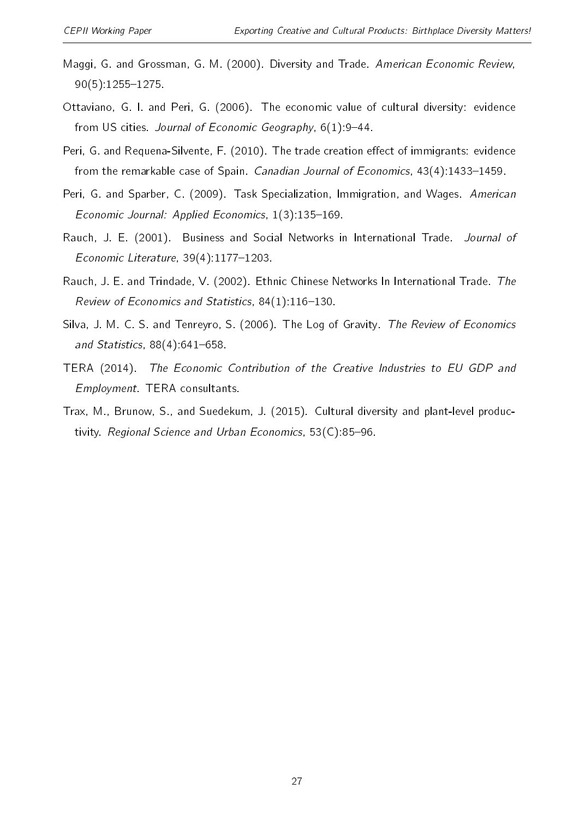- <span id="page-26-1"></span>Maggi, G. and Grossman, G. M. (2000). Diversity and Trade. American Economic Review, 90(5):12551275.
- <span id="page-26-2"></span>Ottaviano, G. I. and Peri, G. (2006). The economic value of cultural diversity: evidence from US cities. Journal of Economic Geography, 6(1):9-44.
- <span id="page-26-8"></span>Peri, G. and Requena-Silvente, F. (2010). The trade creation effect of immigrants: evidence from the remarkable case of Spain. Canadian Journal of Economics,  $43(4)$ :1433-1459.
- <span id="page-26-6"></span>Peri, G. and Sparber, C. (2009). Task Specialization, Immigration, and Wages. American Economic Journal: Applied Economics,  $1(3)$ : 135-169.
- <span id="page-26-4"></span>Rauch, J. E. (2001). Business and Social Networks in International Trade. Journal of Economic Literature,  $39(4)$ :1177-1203.
- <span id="page-26-5"></span>Rauch, J. E. and Trindade, V. (2002). Ethnic Chinese Networks In International Trade. The Review of Economics and Statistics,  $84(1)$ :116-130.
- <span id="page-26-7"></span>Silva, J. M. C. S. and Tenreyro, S. (2006). The Log of Gravity. The Review of Economics and Statistics,  $88(4)$ :641-658.
- <span id="page-26-0"></span>TERA (2014). The Economic Contribution of the Creative Industries to EU GDP and Employment. TERA consultants.
- <span id="page-26-3"></span>Trax, M., Brunow, S., and Suedekum, J. (2015). Cultural diversity and plant-level productivity. Regional Science and Urban Economics, 53(C):85-96.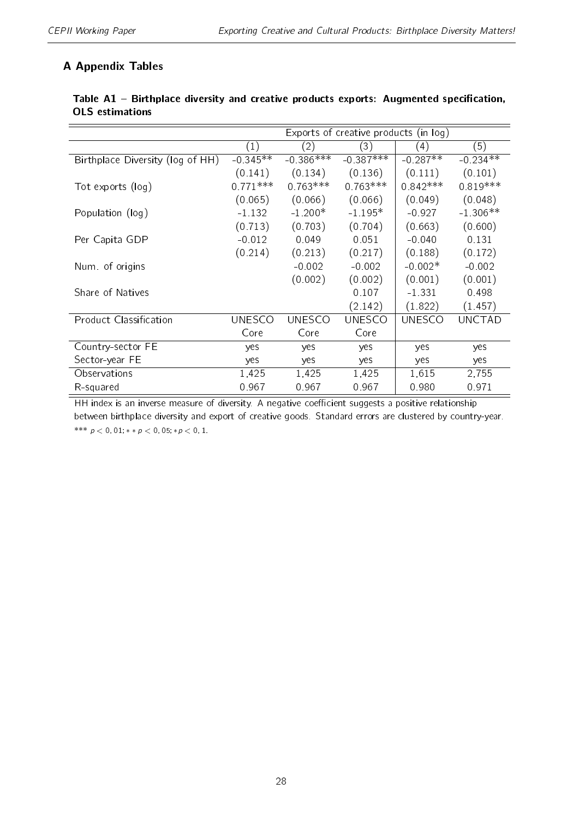# A Appendix Tables

|                                  | Exports of creative products (in log) |               |               |               |               |
|----------------------------------|---------------------------------------|---------------|---------------|---------------|---------------|
|                                  | (1)                                   | (2)           | (3)           | (4)           | (5)           |
| Birthplace Diversity (log of HH) | $-0.345**$                            | $-0.386***$   | $-0.387***$   | $-0.287**$    | $-0.234**$    |
|                                  | (0.141)                               | (0.134)       | (0.136)       | (0.111)       | (0.101)       |
| Tot exports (log)                | $0.771***$                            | $0.763***$    | $0.763***$    | $0.842***$    | $0.819***$    |
|                                  | (0.065)                               | (0.066)       | (0.066)       | (0.049)       | (0.048)       |
| Population (log)                 | $-1.132$                              | $-1.200*$     | $-1.195*$     | $-0.927$      | $-1.306**$    |
|                                  | (0.713)                               | (0.703)       | (0.704)       | (0.663)       | (0.600)       |
| Per Capita GDP                   | $-0.012$                              | 0.049         | 0.051         | $-0.040$      | 0 1 3 1       |
|                                  | (0.214)                               | (0.213)       | (0.217)       | (0.188)       | (0.172)       |
| Num of origins                   |                                       | $-0.002$      | $-0.002$      | $-0.002*$     | $-0.002$      |
|                                  |                                       | (0.002)       | (0.002)       | (0.001)       | (0.001)       |
| Share of Natives                 |                                       |               | 0.107         | $-1.331$      | 0.498         |
|                                  |                                       |               | (2.142)       | (1.822)       | (1.457)       |
| <b>Product Classification</b>    | <b>UNESCO</b>                         | <b>UNESCO</b> | <b>UNESCO</b> | <b>UNESCO</b> | <b>UNCTAD</b> |
|                                  | Core                                  | Core          | Core          |               |               |
| Country-sector FE                | yes                                   | yes           | yes           | yes           | yes           |
| Sector-year FE                   | yes                                   | yes           | yes           | yes           | yes           |
| Observations                     | 1,425                                 | 1,425         | 1,425         | 1,615         | 2,755         |
| R-squared                        | 0967                                  | 0967          | 0.967         | 0.980         | 0971          |

# <span id="page-27-0"></span>Table A1 - Birthplace diversity and creative products exports: Augmented specification, OLS estimations

HH index is an inverse measure of diversity. A negative coefficient suggests a positive relationship between birthplace diversity and export of creative goods. Standard errors are clustered by country-year. \*\*\*  $p < 0,01$ ; \* \*  $p < 0,05$ ; \*  $p < 0,1$ .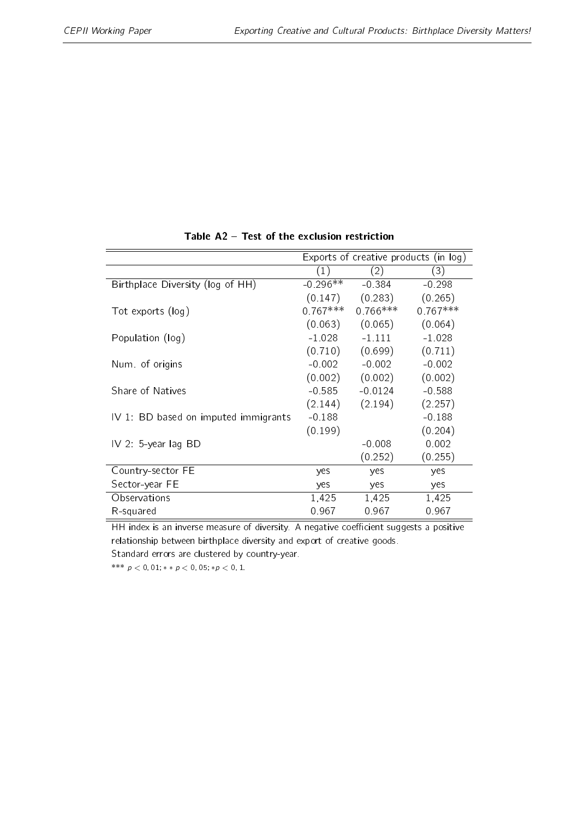<span id="page-28-0"></span>

| (1)        | (2)        | (3)                                               |
|------------|------------|---------------------------------------------------|
| $-0.296**$ | $-0.384$   | $-0.298$                                          |
| (0.147)    | (0.283)    | (0.265)                                           |
| $0.767***$ | $0.766***$ | $0.767***$                                        |
| (0.063)    | (0.065)    | (0.064)                                           |
| $-1.028$   | $-1$ 111   | $-1.028$                                          |
| (0.710)    | (0.699)    | (0.711)                                           |
|            | $-0.002$   | $-0.002$                                          |
| (0.002)    | (0.002)    | (0.002)                                           |
| $-0.585$   | $-0.0124$  | $-0.588$                                          |
| (2.144)    | (2.194)    | (2.257)                                           |
| $-0.188$   |            | $-0.188$                                          |
| (0.199)    |            | (0.204)                                           |
|            | $-0.008$   | 0.002                                             |
|            | (0.252)    | (0.255)                                           |
| yes        | yes        | yes                                               |
| yes        | yes        | yes                                               |
| 1,425      | 1,425      | 1,425                                             |
| 0.967      | 0.967      | 0.967                                             |
|            |            | Exports of creative products (in log)<br>$-0.002$ |

Table  $A2$  – Test of the exclusion restriction

HH index is an inverse measure of diversity. A negative coefficient suggests a positive relationship between birthplace diversity and export of creative goods. Standard errors are clustered by country-year.

\*\*\*  $p < 0$ , 01; \* \*  $p < 0$ , 05; \* $p < 0$ , 1.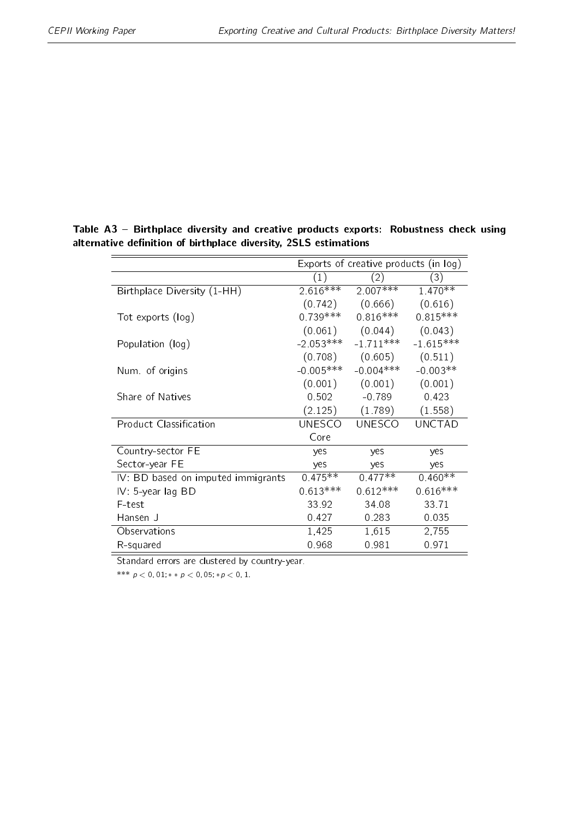|                                    |             | Exports of creative products (in log) |               |
|------------------------------------|-------------|---------------------------------------|---------------|
|                                    | (1)         | (2)                                   | (3)           |
| Birthplace Diversity (1-HH)        | $2.616***$  | $2.007***$                            | $1.470**$     |
|                                    | (0.742)     | (0.666)                               | (0.616)       |
| Tot exports (log)                  | $0.739***$  | $0.816***$                            | $0.815***$    |
|                                    |             | $(0.061)$ $(0.044)$                   | (0.043)       |
| Population (log)                   | $-2.053***$ | $-1.711***$                           | $-1.615***$   |
|                                    | (0.708)     | (0.605)                               | (0.511)       |
| Num of origins                     | $-0.005***$ | $-0.004***$                           | $-0.003**$    |
|                                    | (0.001)     | (0.001)                               | (0.001)       |
| Share of Natives                   | 0.502       | $-0.789$                              | 0.423         |
|                                    | (2.125)     | (1.789)                               | (1.558)       |
| <b>Product Classification</b>      | UNESCO      | <b>UNESCO</b>                         | <b>UNCTAD</b> |
|                                    | Core        |                                       |               |
| Country-sector FE                  | yes         | yes                                   | yes           |
| Sector-year FE                     | yes         | yes                                   | yes           |
| IV: BD based on imputed immigrants | $0.475**$   | $0.477**$                             | $0.460**$     |
| IV: 5-year lag BD                  | $0.613***$  | $0.612***$                            | $0.616***$    |
| F-test                             | 33.92       | 34.08                                 | 33 71         |
| Hansen J                           | 0.427       | 0.283                                 | 0 0 3 5       |
| Observations                       | 1,425       | 1,615                                 | 2,755         |
| R-squared                          | 0.968       | 0.981                                 | 0 971         |

<span id="page-29-0"></span>Table A3 - Birthplace diversity and creative products exports: Robustness check using alternative definition of birthplace diversity, 2SLS estimations

Standard errors are clustered by country-year.

\*\*\*  $p < 0, 01; *p < 0, 05; *p < 0, 1$ .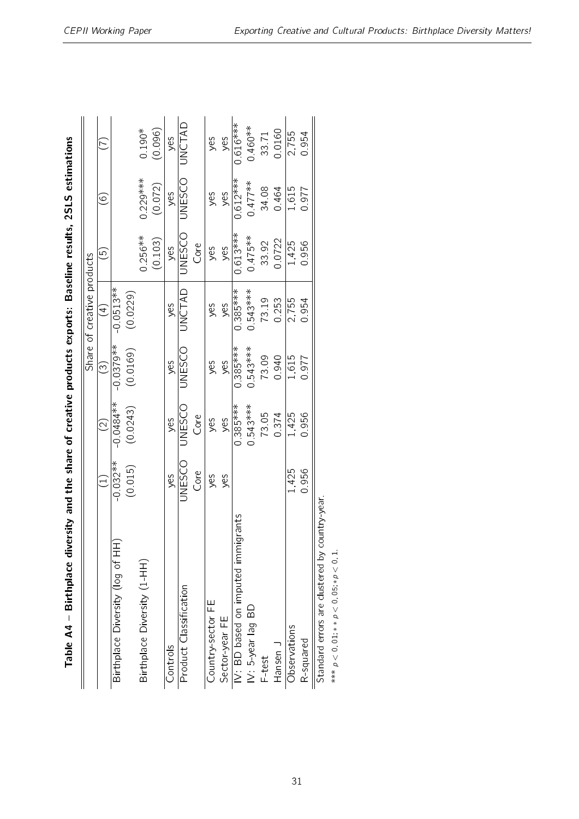<span id="page-30-0"></span>

| $\overline{\phantom{a}}$<br>;<br>;                             |
|----------------------------------------------------------------|
| ֖֧֧ׅ֧ׅ֧ׅ֧֧ׅ֧ׅ֧ׅ֧ׅ֧ׅ֧ׅ֧ׅ֧֚֚֚֚֚֚֚֚֚֚֚֚֚֚֚֚֚֬֝֓֜֓֜֓֜֓֝֓֜֓֜֓֜֜֓֜֜֜ |
|                                                                |
| $\overline{a}$                                                 |
| $\frac{1}{2}$                                                  |
|                                                                |
|                                                                |
|                                                                |
|                                                                |
|                                                                |
| ֖֖֚֚֚֚֚֚֡֬֝                                                    |
|                                                                |
| $\mathbf{I}$                                                   |
|                                                                |
| مامات                                                          |

| Table $AA$ – Birthplace diversity and the share of creative products exports: Baseline results, 2SLS estimations |               |                   |                        |                            |               |                   |            |
|------------------------------------------------------------------------------------------------------------------|---------------|-------------------|------------------------|----------------------------|---------------|-------------------|------------|
|                                                                                                                  |               |                   |                        | Share of creative products |               |                   |            |
|                                                                                                                  |               | $\widehat{\odot}$ | $\widehat{\mathbb{C}}$ | $\bigoplus$                | $\odot$       | $\widehat{\circ}$ | E          |
| Birthplace Diversity (log of HH)                                                                                 | $-0.032**$    | 0 0 484 **        | $-0.0379**$            | $-0.0513**$                |               |                   |            |
|                                                                                                                  | (0.015)       | (0.0243)          | (0.0169)               | (0.0229)                   |               |                   |            |
| Birthplace Diversity (1-HH)                                                                                      |               |                   |                        |                            | $0.256***$    | $0.229***$        | $0.190*$   |
|                                                                                                                  |               |                   |                        |                            | (0.103)       | (0.072)           | (0.096)    |
| Controls                                                                                                         | yes           | yes               | yes                    | yes                        | yes           | yes               | yes        |
| Product Classification                                                                                           | <b>UNESCO</b> | <b>UNESCO</b>     | <b>UNESCO</b>          | <b>UNCTAD</b>              | <b>UNESCO</b> | <b>UNESCO</b>     | UNCTAD     |
|                                                                                                                  | Core          | Core              |                        |                            | Core          |                   |            |
| Country-sector FE                                                                                                | yes           | yes               | yes                    | yes                        | yes           | yes               | yes        |
| Sector-year FE                                                                                                   | yes           | yes               | yes                    | yes                        | yes           | yes               | yes        |
| IV: BD based on imputed immigrants                                                                               |               | $0.385***$        | $0.385***$             | $0.385***$                 | $0.613***$    | $0.612***$        | $0.616***$ |
| $IV: 5$ -year lag BD                                                                                             |               | $0.543***$        | $0.543***$             | $0.543***$                 | $0.475***$    | $0.477***$        | $0.460**$  |
| F-test                                                                                                           |               | 73.05             | 73.09                  | 73.19                      | 3392          | 34.08             | 33.71      |
| Hansen J                                                                                                         |               | 0374              | 0.940                  | 0.253                      | 0.0722        | 0464              | 0.0160     |
| Observations                                                                                                     | 1,425         | 1,425             | 1,615                  | 2,755                      | 1,425         | 1,615             | 2,755      |
| R-squared                                                                                                        | 0.956         | 0.956             | 0.977                  | 0.954                      | 0.956         | 0.977             | 0.954      |
| untry-year<br>Standard errors are clustered by co                                                                |               |                   |                        |                            |               |                   |            |
| *** $p < 0$ , 01, * $p < 0$ , 05, * $p < 0$ , 1                                                                  |               |                   |                        |                            |               |                   |            |